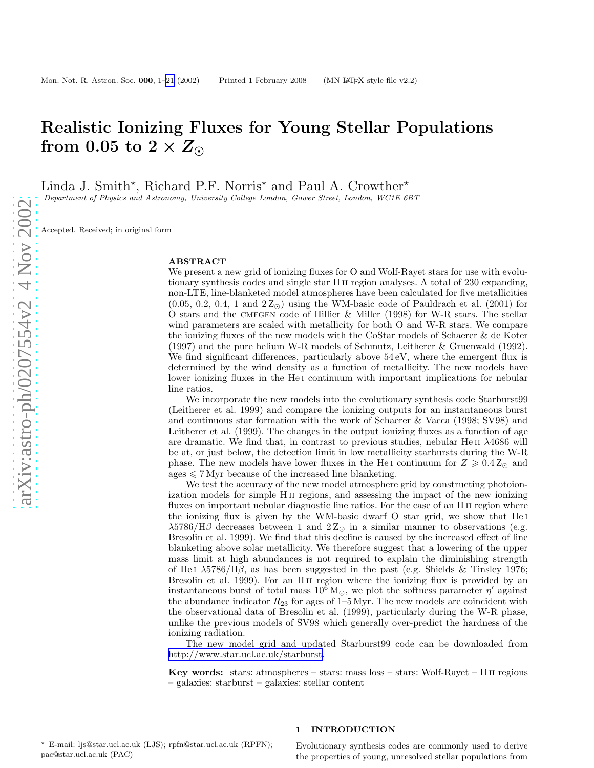# Realistic Ionizing Fluxes for Young Stellar Populations from 0.05 to 2  $\times$   $\overset{\circ}{Z_{\odot}}$

Linda J. Smith\*, Richard P.F. Norris<sup>\*</sup> and Paul A. Crowther\*

Department of Physics and Astronomy, University College London, Gower Street, London, WC1E 6BT

Accepted. Received; in original form

#### ABSTRACT

We present a new grid of ionizing fluxes for O and Wolf-Rayet stars for use with evolutionary synthesis codes and single star H ii region analyses. A total of 230 expanding, non-LTE, line-blanketed model atmospheres have been calculated for five metallicities  $(0.05, 0.2, 0.4, 1 \text{ and } 2\,\text{Z}_{\odot})$  using the WM-basic code of Pauldrach et al. (2001) for O stars and the cmfgen code of Hillier & Miller (1998) for W-R stars. The stellar wind parameters are scaled with metallicity for both O and W-R stars. We compare the ionizing fluxes of the new models with the CoStar models of Schaerer & de Koter (1997) and the pure helium W-R models of Schmutz, Leitherer & Gruenwald (1992). We find significant differences, particularly above  $54 \text{ eV}$ , where the emergent flux is determined by the wind density as a function of metallicity. The new models have lower ionizing fluxes in the He<sub>I</sub> continuum with important implications for nebular line ratios.

We incorporate the new models into the evolutionary synthesis code Starburst99 (Leitherer et al. 1999) and compare the ionizing outputs for an instantaneous burst and continuous star formation with the work of Schaerer & Vacca (1998; SV98) and Leitherer et al. (1999). The changes in the output ionizing fluxes as a function of age are dramatic. We find that, in contrast to previous studies, nebular HeII  $\lambda$ 4686 will be at, or just below, the detection limit in low metallicity starbursts during the W-R phase. The new models have lower fluxes in the He<sub>I</sub> continuum for  $Z \ge 0.4 Z_{\odot}$  and  $\text{ages} \leq 7 \text{ Myr}$  because of the increased line blanketing.

We test the accuracy of the new model atmosphere grid by constructing photoionization models for simple H<sub>II</sub> regions, and assessing the impact of the new ionizing fluxes on important nebular diagnostic line ratios. For the case of an H<sub>II</sub> region where the ionizing flux is given by the WM-basic dwarf O star grid, we show that He i  $\lambda$ 5786/H $\beta$  decreases between 1 and 2 $Z_{\odot}$  in a similar manner to observations (e.g. Bresolin et al. 1999). We find that this decline is caused by the increased effect of line blanketing above solar metallicity. We therefore suggest that a lowering of the upper mass limit at high abundances is not required to explain the diminishing strength of He<sub>I</sub>  $\lambda$ 5786/H<sub>D</sub>, as has been suggested in the past (e.g. Shields & Tinsley 1976; Bresolin et al. 1999). For an H<sub>II</sub> region where the ionizing flux is provided by an instantaneous burst of total mass  $10^6 M_{\odot}$ , we plot the softness parameter  $\eta'$  against the abundance indicator  $R_{23}$  for ages of 1–5 Myr. The new models are coincident with the observational data of Bresolin et al. (1999), particularly during the W-R phase, unlike the previous models of SV98 which generally over-predict the hardness of the ionizing radiation.

The new model grid and updated Starburst99 code can be downloaded from <http://www.star.ucl.ac.uk/starburst>.

**Key words:** stars: atmospheres – stars: mass loss – stars: Wolf-Rayet – H  $\text{II}$  regions – galaxies: starburst – galaxies: stellar content

## 1 INTRODUCTION

<sup>⋆</sup> E-mail: ljs@star.ucl.ac.uk (LJS); rpfn@star.ucl.ac.uk (RPFN); pac@star.ucl.ac.uk (PAC)

Evolutionary synthesis codes are commonly used to derive the properties of young, unresolved stellar populations from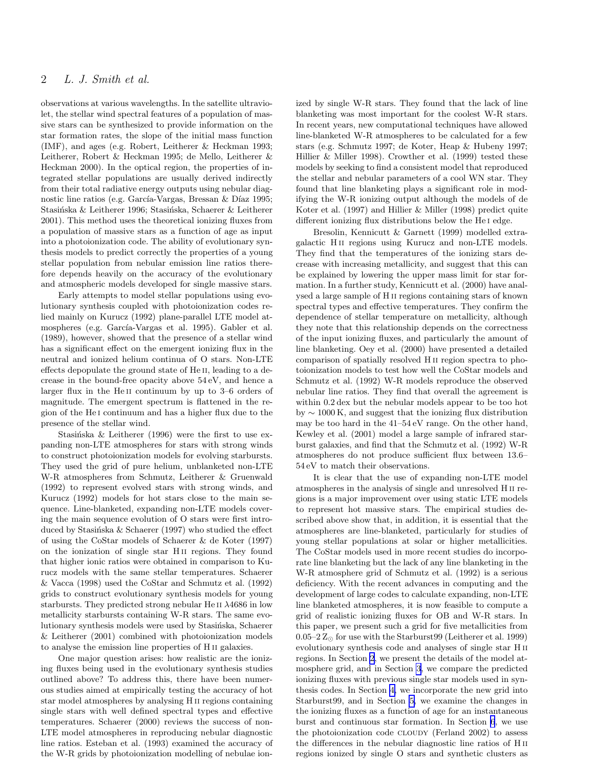# 2 L. J. Smith et al.

observations at various wavelengths. In the satellite ultraviolet, the stellar wind spectral features of a population of massive stars can be synthesized to provide information on the star formation rates, the slope of the initial mass function (IMF), and ages (e.g. Robert, Leitherer & Heckman 1993; Leitherer, Robert & Heckman 1995; de Mello, Leitherer & Heckman 2000). In the optical region, the properties of integrated stellar populations are usually derived indirectly from their total radiative energy outputs using nebular diagnostic line ratios (e.g. García-Vargas, Bressan & Díaz 1995; Stasińska & Leitherer 1996; Stasińska, Schaerer & Leitherer 2001). This method uses the theoretical ionizing fluxes from a population of massive stars as a function of age as input into a photoionization code. The ability of evolutionary synthesis models to predict correctly the properties of a young stellar population from nebular emission line ratios therefore depends heavily on the accuracy of the evolutionary and atmospheric models developed for single massive stars.

Early attempts to model stellar populations using evolutionary synthesis coupled with photoionization codes relied mainly on Kurucz (1992) plane-parallel LTE model atmospheres (e.g. García-Vargas et al. 1995). Gabler et al. (1989), however, showed that the presence of a stellar wind has a significant effect on the emergent ionizing flux in the neutral and ionized helium continua of O stars. Non-LTE effects depopulate the ground state of He ii, leading to a decrease in the bound-free opacity above 54 eV, and hence a larger flux in the He<sub>II</sub> continuum by up to 3–6 orders of magnitude. The emergent spectrum is flattened in the region of the He i continuum and has a higher flux due to the presence of the stellar wind.

Stasińska & Leitherer (1996) were the first to use expanding non-LTE atmospheres for stars with strong winds to construct photoionization models for evolving starbursts. They used the grid of pure helium, unblanketed non-LTE W-R atmospheres from Schmutz, Leitherer & Gruenwald (1992) to represent evolved stars with strong winds, and Kurucz (1992) models for hot stars close to the main sequence. Line-blanketed, expanding non-LTE models covering the main sequence evolution of O stars were first introduced by Stasinska & Schaerer (1997) who studied the effect of using the CoStar models of Schaerer & de Koter (1997) on the ionization of single star H ii regions. They found that higher ionic ratios were obtained in comparison to Kurucz models with the same stellar temperatures. Schaerer & Vacca (1998) used the CoStar and Schmutz et al. (1992) grids to construct evolutionary synthesis models for young starbursts. They predicted strong nebular He II  $\lambda$ 4686 in low metallicity starbursts containing W-R stars. The same evolutionary synthesis models were used by Stasinska, Schaerer & Leitherer (2001) combined with photoionization models to analyse the emission line properties of H ii galaxies.

One major question arises: how realistic are the ionizing fluxes being used in the evolutionary synthesis studies outlined above? To address this, there have been numerous studies aimed at empirically testing the accuracy of hot star model atmospheres by analysing H ii regions containing single stars with well defined spectral types and effective temperatures. Schaerer (2000) reviews the success of non-LTE model atmospheres in reproducing nebular diagnostic line ratios. Esteban et al. (1993) examined the accuracy of the W-R grids by photoionization modelling of nebulae ionized by single W-R stars. They found that the lack of line blanketing was most important for the coolest W-R stars. In recent years, new computational techniques have allowed line-blanketed W-R atmospheres to be calculated for a few stars (e.g. Schmutz 1997; de Koter, Heap & Hubeny 1997; Hillier & Miller 1998). Crowther et al. (1999) tested these models by seeking to find a consistent model that reproduced the stellar and nebular parameters of a cool WN star. They found that line blanketing plays a significant role in modifying the W-R ionizing output although the models of de Koter et al. (1997) and Hillier & Miller (1998) predict quite different ionizing flux distributions below the He<sub>I</sub> edge.

Bresolin, Kennicutt & Garnett (1999) modelled extragalactic H ii regions using Kurucz and non-LTE models. They find that the temperatures of the ionizing stars decrease with increasing metallicity, and suggest that this can be explained by lowering the upper mass limit for star formation. In a further study, Kennicutt et al. (2000) have analysed a large sample of H ii regions containing stars of known spectral types and effective temperatures. They confirm the dependence of stellar temperature on metallicity, although they note that this relationship depends on the correctness of the input ionizing fluxes, and particularly the amount of line blanketing. Oey et al. (2000) have presented a detailed comparison of spatially resolved H ii region spectra to photoionization models to test how well the CoStar models and Schmutz et al. (1992) W-R models reproduce the observed nebular line ratios. They find that overall the agreement is within 0.2 dex but the nebular models appear to be too hot by ∼ 1000 K, and suggest that the ionizing flux distribution may be too hard in the 41–54 eV range. On the other hand, Kewley et al. (2001) model a large sample of infrared starburst galaxies, and find that the Schmutz et al. (1992) W-R atmospheres do not produce sufficient flux between 13.6– 54 eV to match their observations.

It is clear that the use of expanding non-LTE model atmospheres in the analysis of single and unresolved H ii regions is a major improvement over using static LTE models to represent hot massive stars. The empirical studies described above show that, in addition, it is essential that the atmospheres are line-blanketed, particularly for studies of young stellar populations at solar or higher metallicities. The CoStar models used in more recent studies do incorporate line blanketing but the lack of any line blanketing in the W-R atmosphere grid of Schmutz et al. (1992) is a serious deficiency. With the recent advances in computing and the development of large codes to calculate expanding, non-LTE line blanketed atmospheres, it is now feasible to compute a grid of realistic ionizing fluxes for OB and W-R stars. In this paper, we present such a grid for five metallicities from 0.05–2  $Z_{\odot}$  for use with the Starburst99 (Leitherer et al. 1999) evolutionary synthesis code and analyses of single star H ii regions. In Section [2](#page-2-0), we present the details of the model atmosphere grid, and in Section [3](#page-8-0), we compare the predicted ionizing fluxes with previous single star models used in synthesis codes. In Section [4,](#page-10-0) we incorporate the new grid into Starburst99, and in Section [5,](#page-11-0) we examine the changes in the ionizing fluxes as a function of age for an instantaneous burst and continuous star formation. In Section [6](#page-14-0), we use the photoionization code cloudy (Ferland 2002) to assess the differences in the nebular diagnostic line ratios of H ii regions ionized by single O stars and synthetic clusters as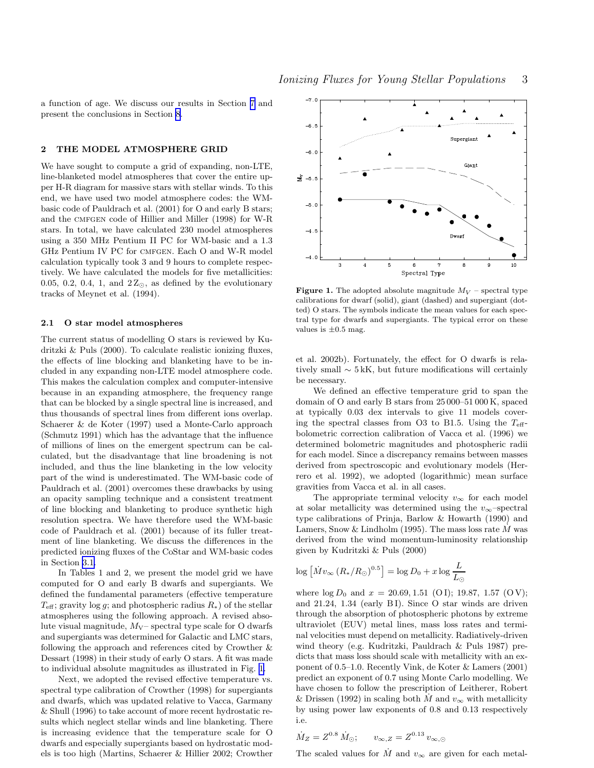<span id="page-2-0"></span>a function of age. We discuss our results in Section [7](#page-16-0) and present the conclusions in Section [8.](#page-18-0)

## 2 THE MODEL ATMOSPHERE GRID

We have sought to compute a grid of expanding, non-LTE, line-blanketed model atmospheres that cover the entire upper H-R diagram for massive stars with stellar winds. To this end, we have used two model atmosphere codes: the WMbasic code of Pauldrach et al. (2001) for O and early B stars; and the CMFGEN code of Hillier and Miller (1998) for W-R stars. In total, we have calculated 230 model atmospheres using a 350 MHz Pentium II PC for WM-basic and a 1.3 GHz Pentium IV PC for cmfgen. Each O and W-R model calculation typically took 3 and 9 hours to complete respectively. We have calculated the models for five metallicities: 0.05, 0.2, 0.4, 1, and  $2Z_{\odot}$ , as defined by the evolutionary tracks of Meynet et al. (1994).

## 2.1 O star model atmospheres

The current status of modelling O stars is reviewed by Kudritzki & Puls (2000). To calculate realistic ionizing fluxes, the effects of line blocking and blanketing have to be included in any expanding non-LTE model atmosphere code. This makes the calculation complex and computer-intensive because in an expanding atmosphere, the frequency range that can be blocked by a single spectral line is increased, and thus thousands of spectral lines from different ions overlap. Schaerer & de Koter (1997) used a Monte-Carlo approach (Schmutz 1991) which has the advantage that the influence of millions of lines on the emergent spectrum can be calculated, but the disadvantage that line broadening is not included, and thus the line blanketing in the low velocity part of the wind is underestimated. The WM-basic code of Pauldrach et al. (2001) overcomes these drawbacks by using an opacity sampling technique and a consistent treatment of line blocking and blanketing to produce synthetic high resolution spectra. We have therefore used the WM-basic code of Pauldrach et al. (2001) because of its fuller treatment of line blanketing. We discuss the differences in the predicted ionizing fluxes of the CoStar and WM-basic codes in Section [3.1.](#page-8-0)

In Tables 1 and 2, we present the model grid we have computed for O and early B dwarfs and supergiants. We defined the fundamental parameters (effective temperature  $T_{\text{eff}}$ ; gravity log g; and photospheric radius  $R_*$ ) of the stellar atmospheres using the following approach. A revised absolute visual magnitude,  $M_V$ – spectral type scale for O dwarfs and supergiants was determined for Galactic and LMC stars, following the approach and references cited by Crowther & Dessart (1998) in their study of early O stars. A fit was made to individual absolute magnitudes as illustrated in Fig. 1.

Next, we adopted the revised effective temperature vs. spectral type calibration of Crowther (1998) for supergiants and dwarfs, which was updated relative to Vacca, Garmany & Shull (1996) to take account of more recent hydrostatic results which neglect stellar winds and line blanketing. There is increasing evidence that the temperature scale for O dwarfs and especially supergiants based on hydrostatic models is too high (Martins, Schaerer & Hillier 2002; Crowther



**Figure 1.** The adopted absolute magnitude  $M_V$  – spectral type calibrations for dwarf (solid), giant (dashed) and supergiant (dotted) O stars. The symbols indicate the mean values for each spectral type for dwarfs and supergiants. The typical error on these values is  $\pm 0.5$  mag.

et al. 2002b). Fortunately, the effect for O dwarfs is relatively small  $\sim$  5 kK, but future modifications will certainly be necessary.

We defined an effective temperature grid to span the domain of O and early B stars from 25 000–51 000 K, spaced at typically 0.03 dex intervals to give 11 models covering the spectral classes from O3 to B1.5. Using the  $T_{\text{eff}}$ bolometric correction calibration of Vacca et al. (1996) we determined bolometric magnitudes and photospheric radii for each model. Since a discrepancy remains between masses derived from spectroscopic and evolutionary models (Herrero et al. 1992), we adopted (logarithmic) mean surface gravities from Vacca et al. in all cases.

The appropriate terminal velocity  $v_{\infty}$  for each model at solar metallicity was determined using the  $v_{\infty}$ –spectral type calibrations of Prinja, Barlow & Howarth (1990) and Lamers, Snow & Lindholm (1995). The mass loss rate  $M$  was derived from the wind momentum-luminosity relationship given by Kudritzki & Puls (2000)

$$
\log \left[ \dot{M} v_{\infty} \left( R_*/R_{\odot} \right)^{0.5} \right] = \log D_0 + x \log \frac{L}{L_{\odot}}
$$

where  $\log D_0$  and  $x = 20.69, 1.51$  (OI); 19.87, 1.57 (OV); and 21.24, 1.34 (early B I). Since O star winds are driven through the absorption of photospheric photons by extreme ultraviolet (EUV) metal lines, mass loss rates and terminal velocities must depend on metallicity. Radiatively-driven wind theory (e.g. Kudritzki, Pauldrach & Puls 1987) predicts that mass loss should scale with metallicity with an exponent of 0.5–1.0. Recently Vink, de Koter & Lamers (2001) predict an exponent of 0.7 using Monte Carlo modelling. We have chosen to follow the prescription of Leitherer, Robert & Drissen (1992) in scaling both  $\dot{M}$  and  $v_{\infty}$  with metallicity by using power law exponents of 0.8 and 0.13 respectively i.e.

$$
\dot{M}_Z = Z^{0.8} \, \dot{M}_{\odot}; \qquad v_{\infty, Z} = Z^{0.13} \, v_{\infty, \odot}
$$

The scaled values for  $\dot{M}$  and  $v_{\infty}$  are given for each metal-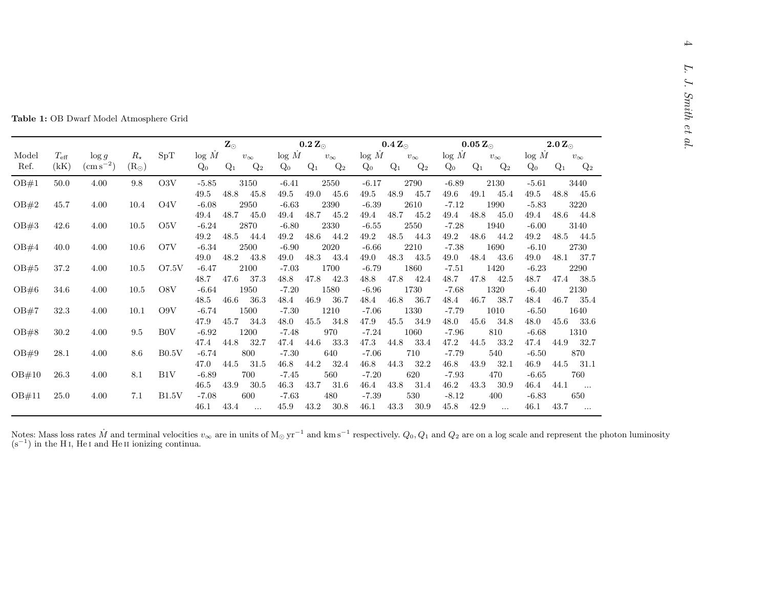| Fable 1: OB Dwarf Model Atmosphere Grid |
|-----------------------------------------|
|-----------------------------------------|

|               |                       |                                |                              |                  |                         | $\mathbf{Z}_\odot$                   |                         | $0.2 \, \rm Z_{\odot}$               |                         | $0.4 Z_{\odot}$                      | $0.05 Z_{\odot}$                                                | $2.0 Z_{\odot}$                                                 |
|---------------|-----------------------|--------------------------------|------------------------------|------------------|-------------------------|--------------------------------------|-------------------------|--------------------------------------|-------------------------|--------------------------------------|-----------------------------------------------------------------|-----------------------------------------------------------------|
| Model<br>Ref. | $T_{\rm eff}$<br>(kK) | $\log g$<br>$\rm (cm\,s^{-2})$ | $R_{\star}$<br>$(R_{\odot})$ | SpT              | log M<br>$Q_0$          | $v_\infty$<br>$Q_1$<br>$Q_2$         | log M<br>$Q_0$          | $v_\infty$<br>$Q_1$<br>$Q_2$         | log M<br>$Q_0$          | $v_\infty$<br>$Q_1$<br>$Q_2$         | log M<br>$v_\infty$<br>$Q_0$<br>$Q_1$<br>$Q_2$                  | log M<br>$v_\infty$<br>$Q_0$<br>$Q_1$<br>$Q_2$                  |
| OB#1          | 50.0                  | 4.00                           | 9.8                          | O3V              | $-5.85$                 | 3150                                 | $-6.41$                 | 2550                                 | $-6.17$                 | 2790                                 | $-6.89$<br>2130                                                 | $-5.61$<br>3440                                                 |
| OB#2          | 45.7                  | 4.00                           | 10.4                         | O <sub>4</sub> V | 49.5<br>$-6.08$<br>49.4 | 48.8<br>45.8<br>2950<br>48.7<br>45.0 | 49.5<br>$-6.63$<br>49.4 | 49.0<br>45.6<br>2390<br>48.7<br>45.2 | 49.5<br>$-6.39$<br>49.4 | 48.9<br>45.7<br>2610<br>48.7<br>45.2 | 49.6<br>49.1<br>45.4<br>$-7.12$<br>1990<br>48.8<br>49.4<br>45.0 | 49.5<br>48.8<br>45.6<br>$-5.83$<br>3220<br>48.6<br>49.4<br>44.8 |
| OB#3          | 42.6                  | 4.00                           | 10.5                         | O <sub>5</sub> V | $-6.24$<br>49.2         | 2870<br>48.5<br>44.4                 | $-6.80$<br>49.2         | 2330<br>48.6<br>44.2                 | $-6.55$<br>$49.2\,$     | 2550<br>48.5<br>44.3                 | $-7.28$<br>1940<br>49.2<br>48.6<br>44.2                         | $-6.00$<br>3140<br>49.2<br>48.5<br>44.5                         |
| OB#4          | 40.0                  | 4.00                           | 10.6                         | O7V              | $-6.34$<br>49.0         | 2500<br>48.2<br>43.8                 | $-6.90$<br>49.0         | 2020<br>48.3<br>43.4                 | $-6.66$<br>49.0         | 2210<br>48.3<br>43.5                 | $-7.38$<br>1690<br>48.4<br>43.6<br>49.0                         | $-6.10$<br>2730<br>48.1<br>49.0<br>37.7                         |
| OB#5          | $37.2\,$              | 4.00                           | 10.5                         | O7.5V            | $-6.47$<br>48.7         | 2100<br>47.6<br>37.3                 | $-7.03$<br>48.8         | 1700<br>47.8<br>42.3                 | $-6.79$<br>48.8         | 1860<br>47.8<br>42.4                 | $-7.51$<br>1420<br>48.7<br>47.8<br>42.5                         | $-6.23$<br>2290<br>48.7<br>47.4<br>38.5                         |
| OB#6          | 34.6                  | 4.00                           | 10.5                         | O8V              | $-6.64$<br>48.5         | 1950<br>46.6<br>36.3                 | $-7.20$<br>48.4         | 1580<br>46.9<br>36.7                 | $-6.96$<br>48.4         | 1730<br>46.8<br>36.7                 | $-7.68$<br>1320<br>46.7<br>38.7<br>48.4                         | $-6.40$<br>2130<br>46.7<br>48.4<br>35.4                         |
| OB#7          | 32.3                  | 4.00                           | 10.1                         | O9V              | $-6.74$<br>47.9         | 1500<br>45.7<br>34.3                 | $-7.30$<br>48.0         | 1210<br>45.5<br>34.8                 | $-7.06$<br>47.9         | 1330<br>45.5<br>34.9                 | $-7.79$<br>1010<br>45.6<br>48.0<br>34.8                         | $-6.50$<br>1640<br>48.0<br>45.6<br>33.6                         |
| OB#8          | 30.2                  | 4.00                           | 9.5                          | B <sub>0</sub> V | $-6.92$<br>47.4         | 1200<br>44.8<br>32.7                 | $-7.48$<br>47.4         | 970<br>44.6<br>33.3                  | $-7.24$<br>47.3         | 1060<br>44.8<br>33.4                 | $-7.96$<br>810<br>47.2<br>44.5<br>33.2                          | 1310<br>$-6.68$<br>47.4<br>44.9<br>32.7                         |
| OB#9          | 28.1                  | 4.00                           | 8.6                          | B0.5V            | $-6.74$<br>47.0         | 800<br>44.5<br>31.5                  | $-7.30$<br>46.8         | 640<br>44.2<br>32.4                  | $-7.06$<br>46.8         | 710<br>44.3<br>32.2                  | $-7.79$<br>540<br>46.8<br>43.9<br>32.1                          | $-6.50$<br>870<br>46.9<br>44.5<br>31.1                          |
| OB#10         | 26.3                  | 4.00                           | 8.1                          | B1V              | $-6.89$<br>46.5         | 700<br>43.9<br>30.5                  | $-7.45$<br>46.3         | 560<br>43.7<br>31.6                  | $-7.20$<br>46.4         | 620<br>43.8<br>31.4                  | $-7.93$<br>470<br>46.2<br>43.3<br>30.9                          | $-6.65$<br>760<br>46.4<br>44.1                                  |
| OB#11         | 25.0                  | 4.00                           | 7.1                          | B1.5V            | $-7.08$<br>46.1         | 600<br>43.4<br>$\cdots$              | $-7.63$<br>45.9         | 480<br>43.2<br>30.8                  | $-7.39$<br>46.1         | 530<br>43.3<br>30.9                  | $-8.12$<br>400<br>42.9<br>45.8<br>$\ldots$                      | $\ldots$<br>$-6.83$<br>650<br>43.7<br>46.1                      |

Notes: Mass loss rates  $M$ <br>(s<sup>-1</sup>) in the H<sub>I</sub>, He<sub>I</sub> and Notes: Mass loss rates M and terminal velocities  $v_{\infty}$  are in units of M<sub>☉</sub> yr<sup>-1</sup> and km s<sup>-1</sup> respectively.  $Q_0$ ,  $Q_1$  and  $Q_2$  are on a log scale and represent the photon luminosity (s<sup>-1</sup>) in the H<sub>I</sub>, He<sub>I</sub> and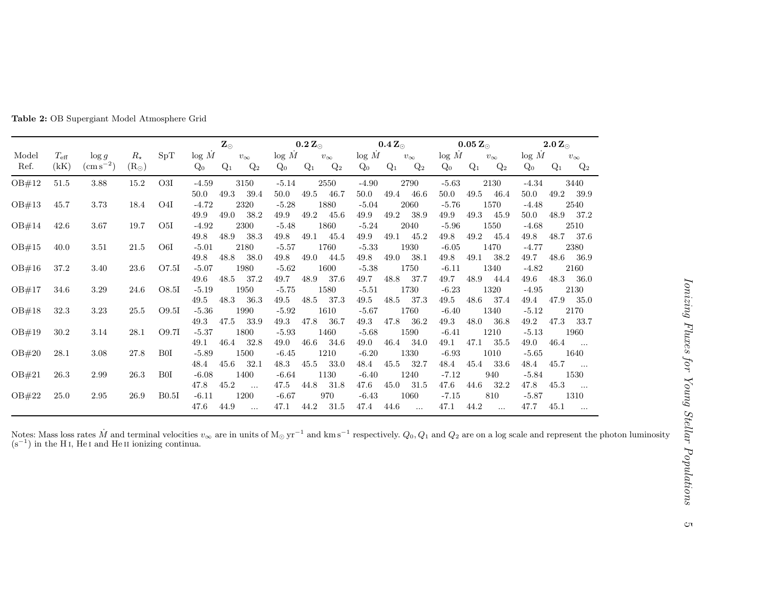|               |                       |                                |                              |                  |                 | $\mathbf{Z}_\odot$    |           | $0.2 \, \rm Z_{\odot}$ |       | $\mathbf{0.4}\, \mathbf{Z_{\odot}}$ |                 |       | $\mathbf{0.05~Z}_{\odot}$ |                 |       | $2.0\,\rm Z_{\odot}$  |                 |       |                       |
|---------------|-----------------------|--------------------------------|------------------------------|------------------|-----------------|-----------------------|-----------|------------------------|-------|-------------------------------------|-----------------|-------|---------------------------|-----------------|-------|-----------------------|-----------------|-------|-----------------------|
| Model<br>Ref. | $T_{\rm eff}$<br>(kK) | $\log g$<br>$\rm (cm\,s^{-2})$ | $R_{\star}$<br>$(R_{\odot})$ | SpT              | log M<br>$Q_0$  | $v_{\infty}$<br>$Q_1$ | $Q_2$     | log M<br>$Q_0$         | $Q_1$ | $v_{\infty}$<br>$Q_2$               | log M<br>$Q_0$  | $Q_1$ | $v_\infty$<br>$Q_2$       | log M<br>$Q_0$  | $Q_1$ | $v_{\infty}$<br>$Q_2$ | log M<br>$Q_0$  | $Q_1$ | $v_{\infty}$<br>$Q_2$ |
| OB#12         | 51.5                  | 3.88                           | 15.2                         | O3I              | $-4.59$<br>50.0 | 3150<br>49.3          | 39.4      | $-5.14$<br>50.0        | 49.5  | 2550<br>46.7                        | $-4.90$<br>50.0 | 49.4  | 2790<br>46.6              | $-5.63$<br>50.0 | 49.5  | 2130<br>46.4          | $-4.34$<br>50.0 | 49.2  | 3440<br>39.9          |
| OB#13         | 45.7                  | 3.73                           | 18.4                         | O <sub>4</sub> I | $-4.72$<br>49.9 | 2320<br>49.0          | 38.2      | $-5.28$<br>49.9        | 49.2  | 1880<br>45.6                        | $-5.04$<br>49.9 | 49.2  | 2060<br>38.9              | $-5.76$<br>49.9 | 49.3  | 1570<br>45.9          | $-4.48$<br>50.0 | 48.9  | 2540<br>37.2          |
| OB#14         | 42.6                  | 3.67                           | 19.7                         | O <sub>5I</sub>  | $-4.92$         | 2300                  |           | $-5.48$                |       | 1860                                | $-5.24$         |       | 2040                      | $-5.96$         |       | 1550                  | $-4.68$         |       | 2510                  |
| OB#15         | 40.0                  | 3.51                           | 21.5                         | O6I              | 49.8<br>$-5.01$ | 48.9<br>2180          | 38.3      | 49.8<br>$-5.57$        | 49.1  | 45.4<br>1760                        | 49.9<br>$-5.33$ | 49.1  | 45.2<br>1930              | 49.8<br>$-6.05$ | 49.2  | 45.4<br>1470          | 49.8<br>$-4.77$ | 48.7  | - 37.6<br>2380        |
| OB#16         | 37.2                  | 3.40                           | 23.6                         | O7.5I            | 49.8<br>$-5.07$ | 48.8<br>1980          | 38.0      | 49.8<br>$-5.62$        | 49.0  | 44.5<br>1600                        | 49.8<br>$-5.38$ | 49.0  | 38.1<br>1750              | 49.8<br>$-6.11$ | 49.1  | 38.2<br>1340          | 49.7<br>$-4.82$ | 48.6  | 36.9<br>2160          |
| OB#17         | 34.6                  | 3.29                           | 24.6                         | O8.5I            | 49.6<br>$-5.19$ | 48.5<br>1950          | 37.2      | 49.7<br>$-5.75$        | 48.9  | 37.6<br>1580                        | 49.7<br>$-5.51$ | 48.8  | 37.7<br>1730              | 49.7<br>$-6.23$ | 48.9  | 44.4<br>1320          | 49.6<br>$-4.95$ | 48.3  | 36.0<br>2130          |
| OB#18         | 32.3                  | 3.23                           | 25.5                         | O9.5I            | 49.5<br>$-5.36$ | 48.3<br>1990          | 36.3      | 49.5<br>$-5.92$        | 48.5  | 37.3<br>1610                        | 49.5<br>$-5.67$ | 48.5  | 37.3<br>1760              | 49.5<br>$-6.40$ | 48.6  | 37.4<br>1340          | 49.4<br>$-5.12$ | 47.9  | -35.0<br>2170         |
| OB#19         | 30.2                  | 3.14                           | 28.1                         | O9.7I            | 49.3<br>$-5.37$ | 47.5<br>1800          | 33.9      | 49.3<br>$-5.93$        | 47.8  | 36.7<br>1460                        | 49.3<br>$-5.68$ | 47.8  | 36.2<br>1590              | 49.3<br>$-6.41$ | 48.0  | 36.8<br>1210          | 49.2<br>$-5.13$ | 47.3  | - 33.7<br>1960        |
| OB#20         | 28.1                  | 3.08                           | 27.8                         | B <sub>0</sub> I | 49.1<br>$-5.89$ | 46.4<br>1500          | 32.8      | 49.0<br>$-6.45$        | 46.6  | 34.6<br>1210                        | 49.0<br>$-6.20$ | 46.4  | 34.0<br>1330              | 49.1<br>$-6.93$ | 47.1  | 35.5<br>1010          | 49.0<br>$-5.65$ | 46.4  | $\cdots$<br>1640      |
| OB#21         | 26.3                  | 2.99                           | 26.3                         | B <sub>0</sub> I | 48.4<br>$-6.08$ | 45.6<br>1400          | 32.1      | 48.3<br>$-6.64$        | 45.5  | 33.0<br>1130                        | 48.4<br>$-6.40$ | 45.5  | 32.7<br>1240              | 48.4<br>$-7.12$ | 45.4  | 33.6<br>940           | 48.4<br>$-5.84$ | 45.7  | $\cdots$<br>1530      |
| OB#22         | 25.0                  | 2.95                           | 26.9                         | B0.5I            | 47.8<br>$-6.11$ | 45.2<br>1200          | $\cdots$  | 47.5<br>$-6.67$        | 44.8  | 31.8<br>970                         | 47.6<br>$-6.43$ | 45.0  | 31.5<br>1060              | 47.6<br>$-7.15$ | 44.6  | 32.2<br>810           | 47.8<br>$-5.87$ | 45.3  | $\cdots$<br>1310      |
|               |                       |                                |                              |                  | 47.6            | 44.9                  | $\ddotsc$ | 47.1                   | 44.2  | 31.5                                | 47.4            | 44.6  | $\ddotsc$                 | 47.1            | 44.2  | $\ldots$              | 47.7            | 45.1  | $\cdots$              |

Table 2: OB Supergiant Model Atmosphere Grid

Notes: Mass loss rates  $M$ <br>(s<sup>-1</sup>) in the H<sub>I</sub>, He<sub>I</sub> and Notes: Mass loss rates M and terminal velocities  $v_{\infty}$  are in units of M<sub>☉</sub> yr<sup>-1</sup> and km s<sup>-1</sup> respectively.  $Q_0$ ,  $Q_1$  and  $Q_2$  are on a log scale and represent the photon luminosity (s<sup>-1</sup>) in the H<sub>I</sub>, He<sub>I</sub> and

 $\mathbb{C}\mathbb{\tau}$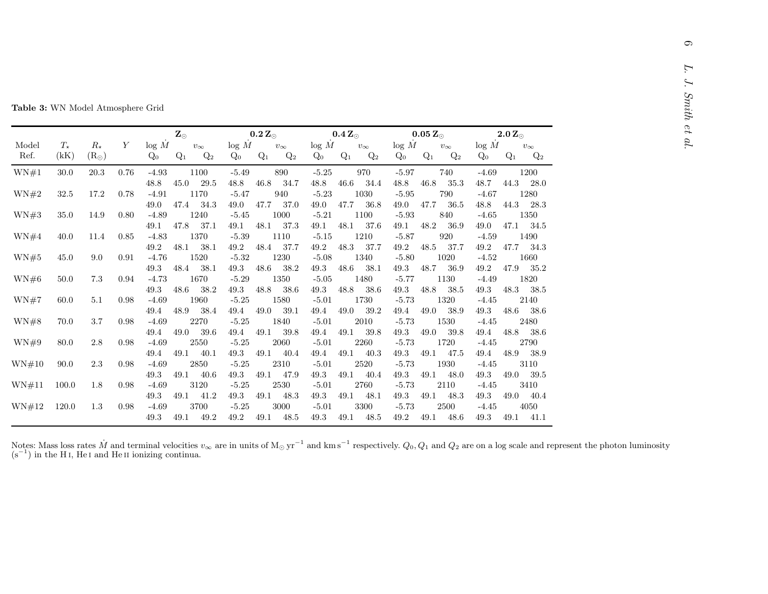|  |  |  | <b>Table 3:</b> WN Model Atmosphere Grid |  |
|--|--|--|------------------------------------------|--|
|--|--|--|------------------------------------------|--|

|               | $T_\star$ | $R_{\star}$   | Y    |                 | $\mathbf{Z}_\odot$ |                     |                 | $0.2 Z_{\odot}$ |                     |                 | $0.4 Z_{\odot}$ |                     |                 | $0.05 Z_{\odot}$ |                     |                 | $2.0 Z_{\odot}$ |                     |
|---------------|-----------|---------------|------|-----------------|--------------------|---------------------|-----------------|-----------------|---------------------|-----------------|-----------------|---------------------|-----------------|------------------|---------------------|-----------------|-----------------|---------------------|
| Model<br>Ref. | (kK)      | $(R_{\odot})$ |      | log M<br>$Q_0$  | $Q_1$              | $v_\infty$<br>$Q_2$ | log M<br>$Q_0$  | $Q_1$           | $v_\infty$<br>$Q_2$ | log M<br>$Q_0$  | $Q_1$           | $v_\infty$<br>$Q_2$ | log M<br>$Q_0$  | $Q_1$            | $v_\infty$<br>$Q_2$ | log M<br>$Q_0$  | $Q_1$           | $v_\infty$<br>$Q_2$ |
| WN#1          | 30.0      | 20.3          | 0.76 | $-4.93$         |                    | 1100                | $-5.49$         |                 | 890                 | $-5.25$         |                 | 970                 | $-5.97$         |                  | 740                 | $-4.69$         |                 | 1200                |
|               |           |               |      | 48.8            | 45.0               | 29.5                | $48.8\,$        | 46.8            | 34.7                | $48.8\,$        | 46.6            | 34.4                | 48.8            | 46.8             | 35.3                | 48.7            | 44.3            | 28.0                |
| WN#2          | $32.5\,$  | $17.2\,$      | 0.78 | $-4.91$         |                    | 1170                | $-5.47$         |                 | 940                 | $-5.23$         |                 | 1030                | $-5.95$         |                  | 790                 | $-4.67$         |                 | 1280                |
|               |           |               |      | 49.0            | 47.4               | 34.3                | 49.0            | 47.7            | 37.0                | 49.0            | 47.7            | 36.8                | 49.0            | 47.7             | 36.5                | $48.8\,$        | 44.3            | 28.3                |
| WN#3          | 35.0      | 14.9          | 0.80 | $-4.89$         |                    | 1240                | $-5.45$         |                 | 1000                | $-5.21$         |                 | 1100                | $-5.93$         |                  | 840                 | $-4.65$         |                 | 1350                |
|               |           |               |      | 49.1            | 47.8               | 37.1                | 49.1            | 48.1            | 37.3                | 49.1            | 48.1            | 37.6                | 49.1            | 48.2             | 36.9                | 49.0            | 47.1            | 34.5                |
| WN#4          | 40.0      | 11.4          | 0.85 | $-4.83$         |                    | 1370                | $-5.39$         |                 | 1110                | $-5.15$         |                 | 1210                | $-5.87$         |                  | 920                 | $-4.59$         |                 | 1490                |
|               |           |               |      | 49.2            | 48.1               | 38.1                | 49.2            | 48.4            | 37.7                | 49.2            | 48.3            | 37.7                | 49.2            | 48.5             | 37.7                | 49.2            | 47.7            | 34.3                |
| WN#5          | 45.0      | 9.0           | 0.91 | $-4.76$<br>49.3 | 48.4               | 1520                | $-5.32$         | $48.6\,$        | 1230                | $-5.08$         | 48.6            | 1340                | $-5.80$         |                  | 1020                | $-4.52$         | 47.9            | 1660                |
| WN#6          | $50.0\,$  | 7.3           | 0.94 | $-4.73$         |                    | 38.1<br>1670        | 49.3<br>$-5.29$ |                 | 38.2<br>1350        | 49.3<br>$-5.05$ |                 | 38.1<br>1480        | 49.3<br>$-5.77$ | 48.7             | 36.9<br>1130        | 49.2<br>$-4.49$ |                 | 35.2<br>1820        |
|               |           |               |      | 49.3            | 48.6               | 38.2                | $\rm 49.3$      | 48.8            | 38.6                | 49.3            | 48.8            | 38.6                | $\rm 49.3$      | 48.8             | 38.5                | 49.3            | 48.3            | 38.5                |
| WN#7          | 60.0      | 5.1           | 0.98 | $-4.69$         |                    | 1960                | $-5.25$         |                 | 1580                | $-5.01$         |                 | 1730                | $-5.73$         |                  | 1320                | $-4.45$         |                 | 2140                |
|               |           |               |      | 49.4            | 48.9               | 38.4                | 49.4            | 49.0            | 39.1                | 49.4            | 49.0            | 39.2                | 49.4            | 49.0             | 38.9                | $49.3\,$        | 48.6            | 38.6                |
| WN#8          | 70.0      | 3.7           | 0.98 | $-4.69$         |                    | 2270                | $-5.25$         |                 | 1840                | $-5.01$         |                 | 2010                | $-5.73$         |                  | 1530                | $-4.45$         |                 | 2480                |
|               |           |               |      | 49.4            | 49.0               | 39.6                | 49.4            | 49.1            | 39.8                | 49.4            | 49.1            | 39.8                | $\rm 49.3$      | 49.0             | 39.8                | 49.4            | 48.8            | 38.6                |
| WN#9          | 80.0      | 2.8           | 0.98 | $-4.69$         |                    | 2550                | $-5.25$         |                 | 2060                | $-5.01$         |                 | 2260                | $-5.73$         |                  | 1720                | $-4.45$         |                 | 2790                |
|               |           |               |      | 49.4            | 49.1               | 40.1                | $49.3\,$        | 49.1            | 40.4                | 49.4            | 49.1            | 40.3                | 49.3            | 49.1             | 47.5                | 49.4            | 48.9            | 38.9                |
| WN#10         | 90.0      | 2.3           | 0.98 | $-4.69$         |                    | 2850                | $-5.25$         |                 | 2310                | $-5.01$         |                 | 2520                | $-5.73$         |                  | 1930                | $-4.45$         |                 | 3110                |
|               |           |               |      | 49.3            | 49.1               | 40.6                | 49.3            | 49.1            | 47.9                | 49.3            | 49.1            | 40.4                | $\rm 49.3$      | 49.1             | 48.0                | $49.3\,$        | 49.0            | 39.5                |
| WN#11         | 100.0     | 1.8           | 0.98 | $-4.69$         |                    | 3120                | $-5.25$         |                 | 2530                | $-5.01$         |                 | 2760                | $-5.73$         |                  | 2110                | $-4.45$         |                 | 3410                |
|               |           |               |      | 49.3            | 49.1               | 41.2                | 49.3            | 49.1            | 48.3                | 49.3            | 49.1            | 48.1                | 49.3            | 49.1             | 48.3                | 49.3            | 49.0            | 40.4                |
| WN#12         | 120.0     | 1.3           | 0.98 | $-4.69$         |                    | 3700                | $-5.25$         |                 | 3000                | $-5.01$         |                 | 3300                | $-5.73$         |                  | 2500                | $-4.45$         |                 | 4050                |
|               |           |               |      | 49.3            | 49.1               | 49.2                | 49.2            | 49.1            | 48.5                | 49.3            | 49.1            | 48.5                | 49.2            | 49.1             | 48.6                | 49.3            | 49.1            | 41.1                |

Notes: Mass loss rates  $M$  (s<sup>-1</sup>) in the H<sub>I</sub>. He<sub>I</sub> and Notes: Mass loss rates M and terminal velocities  $v_{\infty}$  are in units of M<sub>☉</sub> yr<sup>-1</sup> and km s<sup>-1</sup> respectively.  $Q_0$ ,  $Q_1$  and  $Q_2$  are on a log scale and represent the photon luminosity (s<sup>-1</sup>) in the H<sub>I</sub>, He<sub>I</sub> and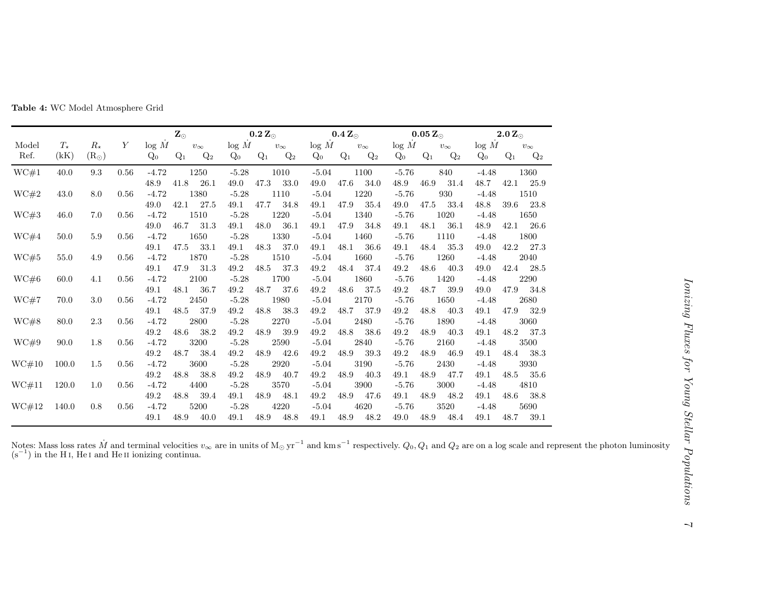|       |            |               |      |         | $\mathbf{Z}_\odot$ |              |         | $\mathbf{0.2~Z_{\odot}}$ |              | $\mathbf{0.4}\, \mathbf{Z_{\odot}}$ |       |              | $\mathbf{0.05~Z_{\odot}}$ |       |              | $2.0 Z_{\odot}$ |       |              |
|-------|------------|---------------|------|---------|--------------------|--------------|---------|--------------------------|--------------|-------------------------------------|-------|--------------|---------------------------|-------|--------------|-----------------|-------|--------------|
| Model | $T_{\ast}$ | $R_{\star}$   | Y    | log M   |                    | $v_{\infty}$ | log M   |                          | $v_{\infty}$ | log M                               |       | $v_{\infty}$ | log M                     |       | $v_{\infty}$ | log M           |       | $v_{\infty}$ |
| Ref.  | (kK)       | $(R_{\odot})$ |      | $Q_0$   | $Q_1$              | $Q_2$        | $Q_0$   | $Q_1$                    | $Q_2$        | $Q_0$                               | $Q_1$ | $Q_2$        | $Q_0$                     | $Q_1$ | $Q_2$        | $Q_0$           | $Q_1$ | $Q_2$        |
| WC#1  | 40.0       | 9.3           | 0.56 | $-4.72$ |                    | 1250         | $-5.28$ |                          | 1010         | $-5.04$                             |       | 1100         | $-5.76$                   |       | 840          | $-4.48$         |       | 1360         |
|       |            |               |      | 48.9    | 41.8               | 26.1         | 49.0    | 47.3                     | 33.0         | 49.0                                | 47.6  | 34.0         | 48.9                      | 46.9  | 31.4         | 48.7            | 42.1  | 25.9         |
| WC#2  | 43.0       | 8.0           | 0.56 | $-4.72$ |                    | 1380         | $-5.28$ |                          | 1110         | $-5.04$                             |       | 1220         | $-5.76$                   |       | 930          | $-4.48$         |       | 1510         |
|       |            |               |      | 49.0    | 42.1               | 27.5         | 49.1    | 47.7                     | 34.8         | 49.1                                | 47.9  | 35.4         | 49.0                      | 47.5  | 33.4         | 48.8            | 39.6  | 23.8         |
| WC#3  | 46.0       | 7.0           | 0.56 | $-4.72$ |                    | 1510         | $-5.28$ |                          | 1220         | $-5.04$                             |       | 1340         | $-5.76$                   |       | 1020         | $-4.48$         |       | 1650         |
|       |            |               |      | 49.0    | 46.7               | 31.3         | 49.1    | 48.0                     | 36.1         | 49.1                                | 47.9  | 34.8         | 49.1                      | 48.1  | 36.1         | 48.9            | 42.1  | 26.6         |
| WC#4  | 50.0       | 5.9           | 0.56 | $-4.72$ |                    | 1650         | $-5.28$ |                          | 1330         | $-5.04$                             |       | 1460         | $-5.76$                   |       | 1110         | $-4.48$         |       | 1800         |
|       |            |               |      | 49.1    | 47.5               | 33.1         | 49.1    | 48.3                     | 37.0         | 49.1                                | 48.1  | 36.6         | 49.1                      | 48.4  | 35.3         | 49.0            | 42.2  | - 27.3       |
| WC#5  | 55.0       | 4.9           | 0.56 | $-4.72$ |                    | 1870         | $-5.28$ |                          | 1510         | $-5.04$                             |       | 1660         | $-5.76$                   |       | 1260         | $-4.48$         |       | 2040         |
|       |            |               |      | 49.1    | 47.9               | 31.3         | 49.2    | 48.5                     | 37.3         | 49.2                                | 48.4  | 37.4         | 49.2                      | 48.6  | 40.3         | 49.0            | 42.4  | 28.5         |
| WC#6  | 60.0       | 4.1           | 0.56 | $-4.72$ |                    | 2100         | $-5.28$ |                          | 1700         | $-5.04$                             |       | 1860         | $-5.76$                   |       | 1420         | $-4.48$         |       | 2290         |
|       |            |               |      | 49.1    | 48.1               | 36.7         | 49.2    | 48.7                     | 37.6         | 49.2                                | 48.6  | 37.5         | 49.2                      | 48.7  | 39.9         | 49.0            | 47.9  | 34.8         |
| WC#7  | 70.0       | 3.0           | 0.56 | $-4.72$ |                    | 2450         | $-5.28$ |                          | 1980         | $-5.04$                             |       | 2170         | $-5.76$                   |       | 1650         | $-4.48$         |       | 2680         |
|       |            |               |      | 49.1    | 48.5               | 37.9         | 49.2    | 48.8                     | 38.3         | $49.2\,$                            | 48.7  | 37.9         | 49.2                      | 48.8  | 40.3         | 49.1            | 47.9  | 32.9         |
| WC#8  | 80.0       | 2.3           | 0.56 | $-4.72$ |                    | 2800         | $-5.28$ |                          | 2270         | $-5.04$                             |       | 2480         | $-5.76$                   |       | 1890         | $-4.48$         |       | 3060         |
|       |            |               |      | 49.2    | 48.6               | 38.2         | 49.2    | 48.9                     | 39.9         | 49.2                                | 48.8  | 38.6         | 49.2                      | 48.9  | 40.3         | 49.1            | 48.2  | 37.3         |
| WC#9  | 90.0       | 1.8           | 0.56 | $-4.72$ |                    | 3200         | $-5.28$ |                          | 2590         | $-5.04$                             |       | 2840         | $-5.76$                   |       | 2160         | $-4.48$         |       | 3500         |
|       |            |               |      | 49.2    | 48.7               | 38.4         | 49.2    | 48.9                     | 42.6         | 49.2                                | 48.9  | 39.3         | 49.2                      | 48.9  | 46.9         | 49.1            | 48.4  | 38.3         |
| WC#10 | 100.0      | 1.5           | 0.56 | $-4.72$ |                    | 3600         | $-5.28$ |                          | 2920         | $-5.04$                             |       | 3190         | $-5.76$                   |       | 2430         | $-4.48$         |       | 3930         |
|       |            |               |      | 49.2    | 48.8               | 38.8         | 49.2    | 48.9                     | -40.7        | 49.2                                | 48.9  | 40.3         | 49.1                      | 48.9  | 47.7         | 49.1            | 48.5  | 35.6         |
| WC#11 | 120.0      | 1.0           | 0.56 | $-4.72$ |                    | 4400         | $-5.28$ |                          | 3570         | $-5.04$                             |       | 3900         | $-5.76$                   |       | 3000         | $-4.48$         |       | 4810         |
|       |            |               |      | 49.2    | 48.8               | 39.4         | 49.1    | 48.9                     | 48.1         | 49.2                                | 48.9  | 47.6         | 49.1                      | 48.9  | 48.2         | 49.1            | 48.6  | 38.8         |
| WC#12 | 140.0      | 0.8           | 0.56 | $-4.72$ |                    | 5200         | $-5.28$ |                          | 4220         | $-5.04$                             |       | 4620         | $-5.76$                   |       | 3520         | $-4.48$         |       | 5690         |
|       |            |               |      | 49.1    | 48.9               | 40.0         | 49.1    | 48.9                     | 48.8         | 49.1                                | 48.9  | 48.2         | 49.0                      | 48.9  | 48.4         | 49.1            | 48.7  | 39.1         |

Table 4: WC Model Atmosphere Grid

Notes: Mass loss rates  $M$  (s<sup>-1</sup>) in the H<sub>I</sub>. He<sub>I</sub> and Notes: Mass loss rates M and terminal velocities  $v_{\infty}$  are in units of M<sub>☉</sub> yr<sup>-1</sup> and km s<sup>-1</sup> respectively.  $Q_0$ ,  $Q_1$  and  $Q_2$  are on a log scale and represent the photon luminosity (s<sup>-1</sup>) in the H<sub>I</sub>, He<sub>I</sub> and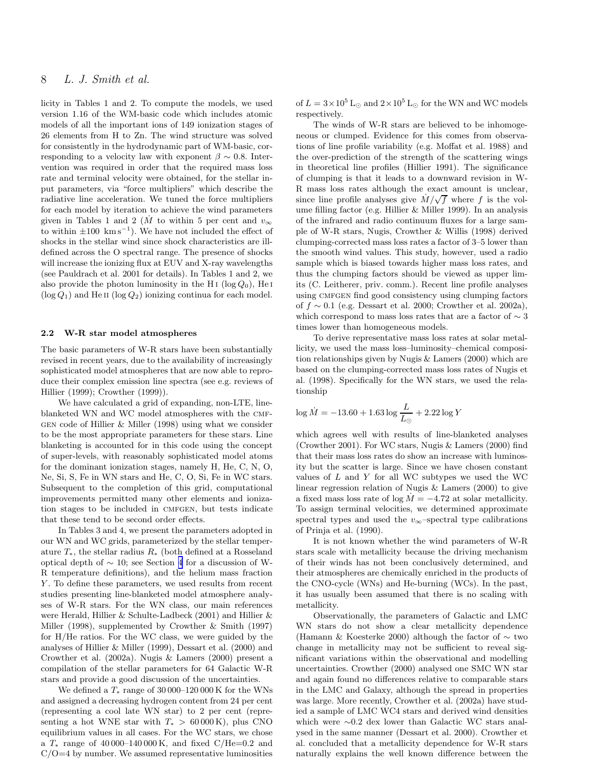# <span id="page-7-0"></span>8 L. J. Smith et al.

licity in Tables 1 and 2. To compute the models, we used version 1.16 of the WM-basic code which includes atomic models of all the important ions of 149 ionization stages of 26 elements from H to Zn. The wind structure was solved for consistently in the hydrodynamic part of WM-basic, corresponding to a velocity law with exponent  $\beta \sim 0.8$ . Intervention was required in order that the required mass loss rate and terminal velocity were obtained, for the stellar input parameters, via "force multipliers" which describe the radiative line acceleration. We tuned the force multipliers for each model by iteration to achieve the wind parameters given in Tables 1 and 2 ( $\dot{M}$  to within 5 per cent and  $v_{\infty}$ to within  $\pm 100 \ \mathrm{km s}^{-1}$ ). We have not included the effect of shocks in the stellar wind since shock characteristics are illdefined across the O spectral range. The presence of shocks will increase the ionizing flux at EUV and X-ray wavelengths (see Pauldrach et al. 2001 for details). In Tables 1 and 2, we also provide the photon luminosity in the H<sub>I</sub> (log  $Q_0$ ), He<sub>I</sub>  $(\log Q_1)$  and He II  $(\log Q_2)$  ionizing continua for each model.

#### 2.2 W-R star model atmospheres

The basic parameters of W-R stars have been substantially revised in recent years, due to the availability of increasingly sophisticated model atmospheres that are now able to reproduce their complex emission line spectra (see e.g. reviews of Hillier (1999); Crowther (1999)).

We have calculated a grid of expanding, non-LTE, lineblanketed WN and WC model atmospheres with the cmf-GEN code of Hillier  $\&$  Miller (1998) using what we consider to be the most appropriate parameters for these stars. Line blanketing is accounted for in this code using the concept of super-levels, with reasonably sophisticated model atoms for the dominant ionization stages, namely H, He, C, N, O, Ne, Si, S, Fe in WN stars and He, C, O, Si, Fe in WC stars. Subsequent to the completion of this grid, computational improvements permitted many other elements and ionization stages to be included in CMFGEN, but tests indicate that these tend to be second order effects.

In Tables 3 and 4, we present the parameters adopted in our WN and WC grids, parameterized by the stellar temperature  $T_*$ , the stellar radius  $R_*$  (both defined at a Rosseland optical depth of ∼ 10; see Section [4](#page-10-0) for a discussion of W-R temperature definitions), and the helium mass fraction Y. To define these parameters, we used results from recent studies presenting line-blanketed model atmosphere analyses of W-R stars. For the WN class, our main references were Herald, Hillier & Schulte-Ladbeck (2001) and Hillier & Miller (1998), supplemented by Crowther & Smith (1997) for H/He ratios. For the WC class, we were guided by the analyses of Hillier & Miller (1999), Dessart et al. (2000) and Crowther et al. (2002a). Nugis & Lamers (2000) present a compilation of the stellar parameters for 64 Galactic W-R stars and provide a good discussion of the uncertainties.

We defined a  $T_*$  range of 30 000–120 000 K for the WNs and assigned a decreasing hydrogen content from 24 per cent (representing a cool late WN star) to 2 per cent (representing a hot WNE star with  $T_* > 60000 \text{ K}$ , plus CNO equilibrium values in all cases. For the WC stars, we chose a  $T_*$  range of 40 000–140 000 K, and fixed C/He=0.2 and  $C/O=4$  by number. We assumed representative luminosities

of  $L = 3 \times 10^5$  L<sub>☉</sub> and  $2 \times 10^5$  L<sub>☉</sub> for the WN and WC models respectively.

The winds of W-R stars are believed to be inhomogeneous or clumped. Evidence for this comes from observations of line profile variability (e.g. Moffat et al. 1988) and the over-prediction of the strength of the scattering wings in theoretical line profiles (Hillier 1991). The significance of clumping is that it leads to a downward revision in W-R mass loss rates although the exact amount is unclear, since line profile analyses give  $\dot{M}/\sqrt{f}$  where f is the volume filling factor (e.g. Hillier & Miller 1999). In an analysis of the infrared and radio continuum fluxes for a large sample of W-R stars, Nugis, Crowther & Willis (1998) derived clumping-corrected mass loss rates a factor of 3–5 lower than the smooth wind values. This study, however, used a radio sample which is biased towards higher mass loss rates, and thus the clumping factors should be viewed as upper limits (C. Leitherer, priv. comm.). Recent line profile analyses using CMFGEN find good consistency using clumping factors of  $f \sim 0.1$  (e.g. Dessart et al. 2000; Crowther et al. 2002a), which correspond to mass loss rates that are a factor of  $\sim$  3 times lower than homogeneous models.

To derive representative mass loss rates at solar metallicity, we used the mass loss–luminosity–chemical composition relationships given by Nugis & Lamers (2000) which are based on the clumping-corrected mass loss rates of Nugis et al. (1998). Specifically for the WN stars, we used the relationship

$$
\log{\dot{M}} = -13.60 + 1.63 \log{\frac{L}{L_{\odot}}} + 2.22 \log{Y}
$$

which agrees well with results of line-blanketed analyses (Crowther 2001). For WC stars, Nugis & Lamers (2000) find that their mass loss rates do show an increase with luminosity but the scatter is large. Since we have chosen constant values of  $L$  and  $Y$  for all WC subtypes we used the WC linear regression relation of Nugis & Lamers (2000) to give a fixed mass loss rate of  $log M = -4.72$  at solar metallicity. To assign terminal velocities, we determined approximate spectral types and used the  $v_{\infty}$ –spectral type calibrations of Prinja et al. (1990).

It is not known whether the wind parameters of W-R stars scale with metallicity because the driving mechanism of their winds has not been conclusively determined, and their atmospheres are chemically enriched in the products of the CNO-cycle (WNs) and He-burning (WCs). In the past, it has usually been assumed that there is no scaling with metallicity.

Observationally, the parameters of Galactic and LMC WN stars do not show a clear metallicity dependence (Hamann & Koesterke 2000) although the factor of ∼ two change in metallicity may not be sufficient to reveal significant variations within the observational and modelling uncertainties. Crowther (2000) analysed one SMC WN star and again found no differences relative to comparable stars in the LMC and Galaxy, although the spread in properties was large. More recently, Crowther et al. (2002a) have studied a sample of LMC WC4 stars and derived wind densities which were ∼0.2 dex lower than Galactic WC stars analysed in the same manner (Dessart et al. 2000). Crowther et al. concluded that a metallicity dependence for W-R stars naturally explains the well known difference between the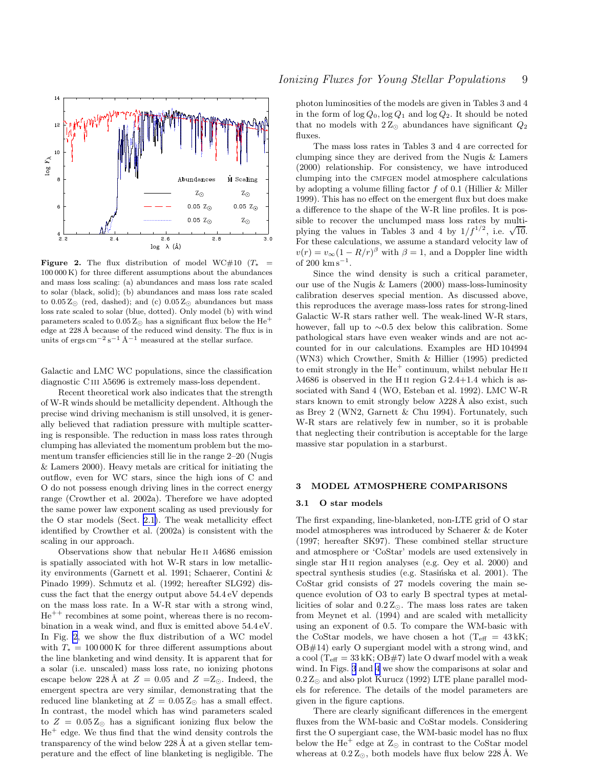<span id="page-8-0"></span>

**Figure 2.** The flux distribution of model WC#10 ( $T_*$  = 100 000 K) for three different assumptions about the abundances and mass loss scaling: (a) abundances and mass loss rate scaled to solar (black, solid); (b) abundances and mass loss rate scaled to  $0.05 Z_{\odot}$  (red, dashed); and (c)  $0.05 Z_{\odot}$  abundances but mass loss rate scaled to solar (blue, dotted). Only model (b) with wind parameters scaled to  $0.05 Z_{\odot}$  has a significant flux below the He<sup>+</sup> edge at 228 Å because of the reduced wind density. The flux is in units of ergs cm<sup>-2</sup>s<sup>-1</sup> Å<sup>-1</sup> measured at the stellar surface.

Galactic and LMC WC populations, since the classification diagnostic C<sub>III</sub>  $\lambda$ 5696 is extremely mass-loss dependent.

Recent theoretical work also indicates that the strength of W-R winds should be metallicity dependent. Although the precise wind driving mechanism is still unsolved, it is generally believed that radiation pressure with multiple scattering is responsible. The reduction in mass loss rates through clumping has alleviated the momentum problem but the momentum transfer efficiencies still lie in the range 2–20 (Nugis & Lamers 2000). Heavy metals are critical for initiating the outflow, even for WC stars, since the high ions of C and O do not possess enough driving lines in the correct energy range (Crowther et al. 2002a). Therefore we have adopted the same power law exponent scaling as used previously for the O star models (Sect. [2.1\)](#page-2-0). The weak metallicity effect identified by Crowther et al. (2002a) is consistent with the scaling in our approach.

Observations show that nebular He ii λ4686 emission is spatially associated with hot W-R stars in low metallicity environments (Garnett et al. 1991; Schaerer, Contini & Pinado 1999). Schmutz et al. (1992; hereafter SLG92) discuss the fact that the energy output above 54.4 eV depends on the mass loss rate. In a W-R star with a strong wind,  $He^{++}$  recombines at some point, whereas there is no recombination in a weak wind, and flux is emitted above 54.4 eV. In Fig. 2, we show the flux distribution of a WC model with  $T_* = 100000 \text{ K}$  for three different assumptions about the line blanketing and wind density. It is apparent that for a solar (i.e. unscaled) mass loss rate, no ionizing photons escape below 228 Å at  $Z = 0.05$  and  $Z = Z_{\odot}$ . Indeed, the emergent spectra are very similar, demonstrating that the reduced line blanketing at  $Z = 0.05 Z_{\odot}$  has a small effect. In contrast, the model which has wind parameters scaled to  $Z = 0.05 Z_{\odot}$  has a significant ionizing flux below the  $He<sup>+</sup>$  edge. We thus find that the wind density controls the transparency of the wind below 228  $\AA$  at a given stellar temperature and the effect of line blanketing is negligible. The photon luminosities of the models are given in Tables 3 and 4 in the form of  $\log Q_0$ ,  $\log Q_1$  and  $\log Q_2$ . It should be noted that no models with  $2Z_{\odot}$  abundances have significant  $Q_2$ fluxes.

The mass loss rates in Tables 3 and 4 are corrected for clumping since they are derived from the Nugis & Lamers (2000) relationship. For consistency, we have introduced clumping into the cmfgen model atmosphere calculations by adopting a volume filling factor  $f$  of 0.1 (Hillier  $\&$  Miller 1999). This has no effect on the emergent flux but does make a difference to the shape of the W-R line profiles. It is possible to recover the unclumped mass loss rates by multiplying the values in Tables 3 and 4 by  $1/f^{1/2}$ , i.e.  $\sqrt{10}$ . For these calculations, we assume a standard velocity law of  $v(r) = v_{\infty}(1 - R/r)^{\beta}$  with  $\beta = 1$ , and a Doppler line width of 200  $\mathrm{km\,s}^{-1}$ .

Since the wind density is such a critical parameter, our use of the Nugis & Lamers (2000) mass-loss-luminosity calibration deserves special mention. As discussed above, this reproduces the average mass-loss rates for strong-lined Galactic W-R stars rather well. The weak-lined W-R stars, however, fall up to ∼0.5 dex below this calibration. Some pathological stars have even weaker winds and are not accounted for in our calculations. Examples are HD 104994 (WN3) which Crowther, Smith & Hillier (1995) predicted to emit strongly in the  $He<sup>+</sup>$  continuum, whilst nebular  $He$  ii  $\lambda$ 4686 is observed in the H<sub>II</sub> region G 2.4+1.4 which is associated with Sand 4 (WO, Esteban et al. 1992). LMC W-R stars known to emit strongly below  $\lambda$ 228 Å also exist, such as Brey 2 (WN2, Garnett & Chu 1994). Fortunately, such W-R stars are relatively few in number, so it is probable that neglecting their contribution is acceptable for the large massive star population in a starburst.

## 3 MODEL ATMOSPHERE COMPARISONS

#### 3.1 O star models

The first expanding, line-blanketed, non-LTE grid of O star model atmospheres was introduced by Schaerer & de Koter (1997; hereafter SK97). These combined stellar structure and atmosphere or 'CoStar' models are used extensively in single star H ii region analyses (e.g. Oey et al. 2000) and spectral synthesis studies (e.g. Stasinska et al. 2001). The CoStar grid consists of 27 models covering the main sequence evolution of O3 to early B spectral types at metallicities of solar and  $0.2 Z_{\odot}$ . The mass loss rates are taken from Meynet et al. (1994) and are scaled with metallicity using an exponent of 0.5. To compare the WM-basic with the CoStar models, we have chosen a hot  $(T_{\text{eff}} = 43 \text{ kK})$ ; OB#14) early O supergiant model with a strong wind, and a cool (T<sub>eff</sub> =  $33$  kK; OB#7) late O dwarf model with a weak wind. In Figs. [3](#page-9-0) and [4](#page-9-0) we show the comparisons at solar and  $0.2 Z_{\odot}$  and also plot Kurucz (1992) LTE plane parallel models for reference. The details of the model parameters are given in the figure captions.

There are clearly significant differences in the emergent fluxes from the WM-basic and CoStar models. Considering first the O supergiant case, the WM-basic model has no flux below the He<sup>+</sup> edge at  $Z_{\odot}$  in contrast to the CoStar model whereas at  $0.2 Z_{\odot}$ , both models have flux below 228 Å. We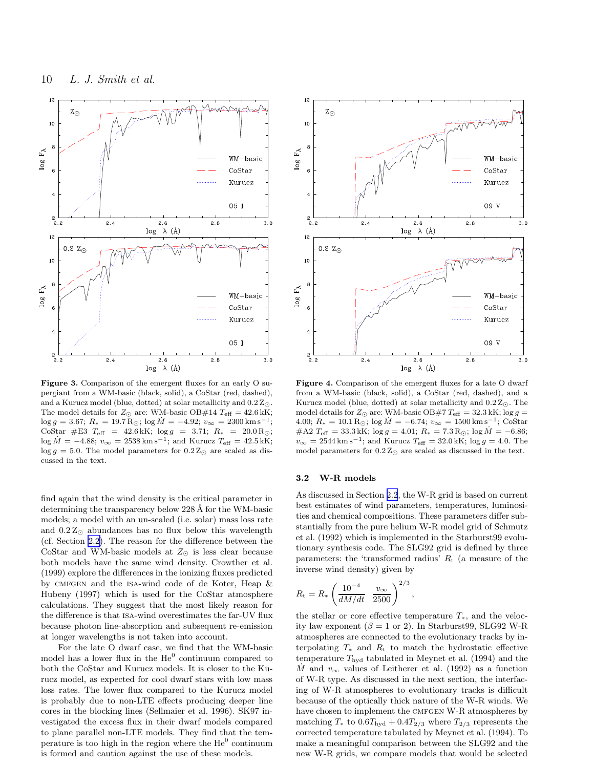<span id="page-9-0"></span>

Figure 3. Comparison of the emergent fluxes for an early O supergiant from a WM-basic (black, solid), a CoStar (red, dashed), and a Kurucz model (blue, dotted) at solar metallicity and  $0.2 Z_{\odot}$ . The model details for  $Z_{\odot}$  are: WM-basic OB#14  $T_{\text{eff}} = 42.6 \text{ kK}$ ;  $\log g = 3.67; R_* = 19.7 \,\text{R}_{\odot}; \log \dot{M} = -4.92; v_{\infty} = 2300 \,\text{km} \,\text{s}^{-1};$ CoStar #E3  $T_{\text{eff}}$  = 42.6 kK; log g = 3.71;  $R_*$  = 20.0 R<sub>☉</sub>;  $\log \dot{M} = -4.88; v_{\infty} = 2538 \,\mathrm{km} \,\mathrm{s}^{-1}$ ; and Kurucz  $T_{\text{eff}} = 42.5 \,\mathrm{kK}$ ;  $\log g = 5.0$ . The model parameters for  $0.2 Z_{\odot}$  are scaled as discussed in the text.

find again that the wind density is the critical parameter in determining the transparency below 228 Å for the WM-basic models; a model with an un-scaled (i.e. solar) mass loss rate and  $0.2 Z_{\odot}$  abundances has no flux below this wavelength (cf. Section [2.2\)](#page-7-0). The reason for the difference between the CoStar and WM-basic models at  $Z_{\odot}$  is less clear because both models have the same wind density. Crowther et al. (1999) explore the differences in the ionizing fluxes predicted by CMFGEN and the ISA-wind code of de Koter, Heap & Hubeny (1997) which is used for the CoStar atmosphere calculations. They suggest that the most likely reason for the difference is that isa-wind overestimates the far-UV flux because photon line-absorption and subsequent re-emission at longer wavelengths is not taken into account.

For the late O dwarf case, we find that the WM-basic model has a lower flux in the  $He^0$  continuum compared to both the CoStar and Kurucz models. It is closer to the Kurucz model, as expected for cool dwarf stars with low mass loss rates. The lower flux compared to the Kurucz model is probably due to non-LTE effects producing deeper line cores in the blocking lines (Sellmaier et al. 1996). SK97 investigated the excess flux in their dwarf models compared to plane parallel non-LTE models. They find that the temperature is too high in the region where the  $He^0$  continuum is formed and caution against the use of these models.



Figure 4. Comparison of the emergent fluxes for a late O dwarf from a WM-basic (black, solid), a CoStar (red, dashed), and a Kurucz model (blue, dotted) at solar metallicity and  $0.2 Z_{\odot}$ . The model details for  $Z_{\odot}$  are: WM-basic OB#7  $T_{\text{eff}} = 32.3$  kK; log  $g =$ 4.00;  $R_* = 10.1 \,\text{R}_{\odot}$ ; log  $\dot{M} = -6.74$ ;  $v_{\infty} = 1500 \,\text{km} \,\text{s}^{-1}$ ; CoStar #A2  $T_{\text{eff}} = 33.3 \text{kK}$ ; log  $g = 4.01$ ;  $R_* = 7.3 \text{R}_{\odot}$ ; log  $M = -6.86$ ;  $v_{\infty} = 2544 \,\mathrm{km \, s^{-1}}$ ; and Kurucz  $T_{\text{eff}} = 32.0 \,\mathrm{kK}$ ; log  $g = 4.0$ . The model parameters for  $0.2 Z_{\odot}$  are scaled as discussed in the text.

# 3.2 W-R models

As discussed in Section [2.2](#page-7-0), the W-R grid is based on current best estimates of wind parameters, temperatures, luminosities and chemical compositions. These parameters differ substantially from the pure helium W-R model grid of Schmutz et al. (1992) which is implemented in the Starburst99 evolutionary synthesis code. The SLG92 grid is defined by three parameters: the 'transformed radius'  $R_t$  (a measure of the inverse wind density) given by

$$
R_{\rm t} = R_* \left( \frac{10^{-4}}{dM/dt} \frac{v_{\infty}}{2500} \right)^{2/3},
$$

the stellar or core effective temperature  $T_*$ , and the velocity law exponent ( $\beta = 1$  or 2). In Starburst 99, SLG 92 W-R atmospheres are connected to the evolutionary tracks by interpolating  $T_*$  and  $R_t$  to match the hydrostatic effective temperature  $T_{\text{hyd}}$  tabulated in Meynet et al. (1994) and the M and  $v_{\infty}$  values of Leitherer et al. (1992) as a function of W-R type. As discussed in the next section, the interfacing of W-R atmospheres to evolutionary tracks is difficult because of the optically thick nature of the W-R winds. We have chosen to implement the CMFGEN W-R atmospheres by matching  $T_*$  to  $0.6T_{\text{hyd}} + 0.4T_{2/3}$  where  $T_{2/3}$  represents the corrected temperature tabulated by Meynet et al. (1994). To make a meaningful comparison between the SLG92 and the new W-R grids, we compare models that would be selected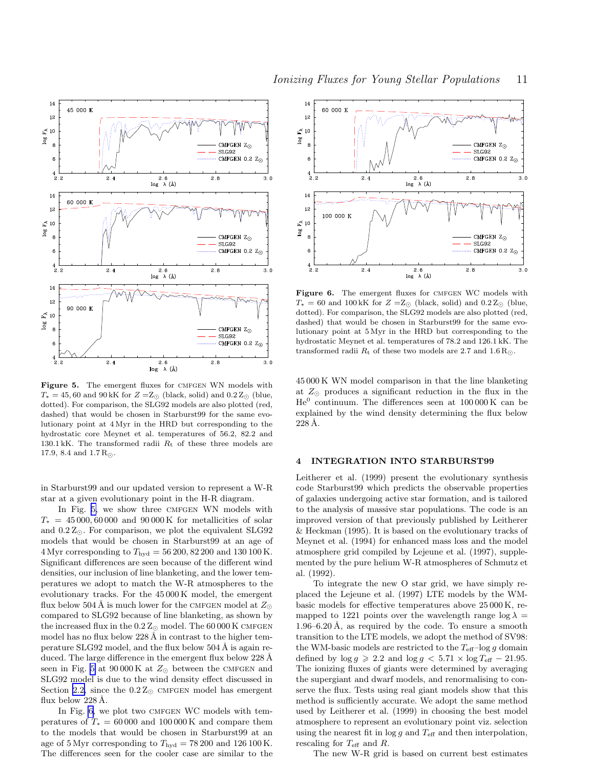<span id="page-10-0"></span>

Figure 5. The emergent fluxes for CMFGEN WN models with  $T_* = 45,60$  and  $90 \text{ kK}$  for  $Z = Z_{\odot}$  (black, solid) and  $0.2 Z_{\odot}$  (blue, dotted). For comparison, the SLG92 models are also plotted (red, dashed) that would be chosen in Starburst99 for the same evolutionary point at 4 Myr in the HRD but corresponding to the hydrostatic core Meynet et al. temperatures of 56.2, 82.2 and 130.1 kK. The transformed radii  $R_t$  of these three models are 17.9, 8.4 and  $1.7 R_{\odot}$ .

in Starburst99 and our updated version to represent a W-R star at a given evolutionary point in the H-R diagram.

In Fig. 5, we show three CMFGEN WN models with  $T_* = 45000, 60000$  and  $90000$  K for metallicities of solar and  $0.2 Z_{\odot}$ . For comparison, we plot the equivalent SLG92 models that would be chosen in Starburst99 at an age of 4 Myr corresponding to  $T_{\text{hyd}} = 56\,200, 82\,200$  and 130 100 K. Significant differences are seen because of the different wind densities, our inclusion of line blanketing, and the lower temperatures we adopt to match the W-R atmospheres to the evolutionary tracks. For the 45 000 K model, the emergent flux below 504 Å is much lower for the CMFGEN model at  $Z_{\odot}$ compared to SLG92 because of line blanketing, as shown by the increased flux in the  $0.2 Z_{\odot}$  model. The 60 000 K CMFGEN model has no flux below  $228 \text{ Å}$  in contrast to the higher temperature SLG92 model, and the flux below  $504 \text{ Å}$  is again reduced. The large difference in the emergent flux below  $228 \text{ Å}$ seen in Fig. 5 at  $90000 \text{ K}$  at  $Z_{\odot}$  between the CMFGEN and SLG92 model is due to the wind density effect discussed in Section [2.2,](#page-7-0) since the  $0.2 Z_{\odot}$  CMFGEN model has emergent flux below  $228 \text{ Å}.$ 

In Fig. 6, we plot two CMFGEN WC models with temperatures of  $T_* = 60000$  and 100 000 K and compare them to the models that would be chosen in Starburst99 at an age of 5 Myr corresponding to  $T_{\text{hyd}} = 78200$  and 126 100 K. The differences seen for the cooler case are similar to the



Figure 6. The emergent fluxes for CMFGEN WC models with  $T_* = 60$  and  $100 \text{ kK}$  for  $Z = Z_{\odot}$  (black, solid) and  $0.2 Z_{\odot}$  (blue, dotted). For comparison, the SLG92 models are also plotted (red, dashed) that would be chosen in Starburst99 for the same evolutionary point at 5 Myr in the HRD but corresponding to the hydrostatic Meynet et al. temperatures of 78.2 and 126.1 kK. The transformed radii  $R_t$  of these two models are 2.7 and 1.6 R<sub>☉</sub>.

45 000 K WN model comparison in that the line blanketing at  $Z_{\odot}$  produces a significant reduction in the flux in the  $He<sup>0</sup>$  continuum. The differences seen at  $100000K$  can be explained by the wind density determining the flux below  $228$  Å.

## 4 INTEGRATION INTO STARBURST99

Leitherer et al. (1999) present the evolutionary synthesis code Starburst99 which predicts the observable properties of galaxies undergoing active star formation, and is tailored to the analysis of massive star populations. The code is an improved version of that previously published by Leitherer & Heckman (1995). It is based on the evolutionary tracks of Meynet et al. (1994) for enhanced mass loss and the model atmosphere grid compiled by Lejeune et al. (1997), supplemented by the pure helium W-R atmospheres of Schmutz et al. (1992).

To integrate the new O star grid, we have simply replaced the Lejeune et al. (1997) LTE models by the WMbasic models for effective temperatures above 25 000 K, remapped to 1221 points over the wavelength range  $\log \lambda =$  $1.96-6.20$  Å, as required by the code. To ensure a smooth transition to the LTE models, we adopt the method of SV98: the WM-basic models are restricted to the  $T_{\text{eff}}$ -log g domain defined by  $\log g \ge 2.2$  and  $\log g < 5.71 \times \log T_{\text{eff}} - 21.95$ . The ionizing fluxes of giants were determined by averaging the supergiant and dwarf models, and renormalising to conserve the flux. Tests using real giant models show that this method is sufficiently accurate. We adopt the same method used by Leitherer et al. (1999) in choosing the best model atmosphere to represent an evolutionary point viz. selection using the nearest fit in  $\log g$  and  $T_{\text{eff}}$  and then interpolation, rescaling for  $T_{\text{eff}}$  and  $R$ .

The new W-R grid is based on current best estimates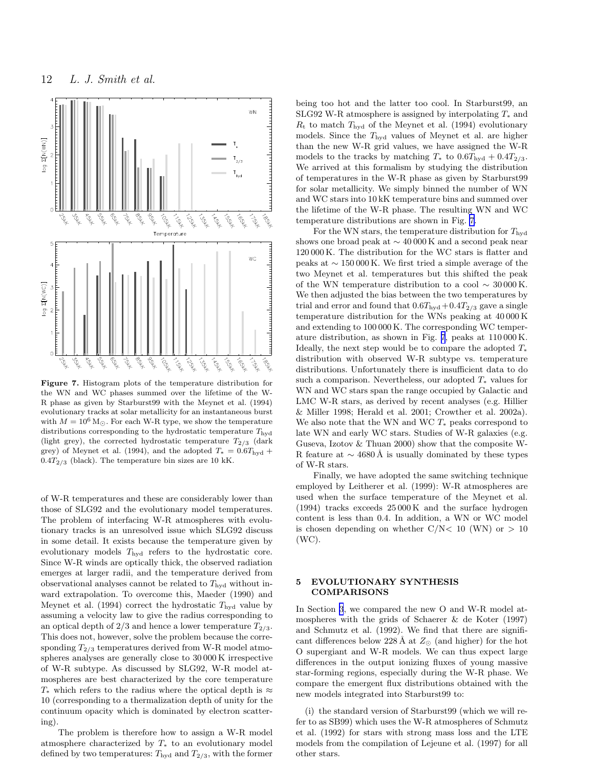<span id="page-11-0"></span>

Figure 7. Histogram plots of the temperature distribution for the WN and WC phases summed over the lifetime of the W-R phase as given by Starburst99 with the Meynet et al. (1994) evolutionary tracks at solar metallicity for an instantaneous burst with  $M = 10^6$  M<sub>☉</sub>. For each W-R type, we show the temperature distributions corresponding to the hydrostatic temperature  $T_{\rm hyd}$ (light grey), the corrected hydrostatic temperature  $T_{2/3}$  (dark grey) of Meynet et al. (1994), and the adopted  $T_* = 0.6T_{\text{hyd}} +$  $0.4T_{2/3}$  (black). The temperature bin sizes are 10 kK.

of W-R temperatures and these are considerably lower than those of SLG92 and the evolutionary model temperatures. The problem of interfacing W-R atmospheres with evolutionary tracks is an unresolved issue which SLG92 discuss in some detail. It exists because the temperature given by evolutionary models  $T_{\text{hyd}}$  refers to the hydrostatic core. Since W-R winds are optically thick, the observed radiation emerges at larger radii, and the temperature derived from observational analyses cannot be related to  $T_{\text{hvd}}$  without inward extrapolation. To overcome this, Maeder (1990) and Meynet et al. (1994) correct the hydrostatic  $T_{\text{hyd}}$  value by assuming a velocity law to give the radius corresponding to an optical depth of  $2/3$  and hence a lower temperature  $T_{2/3}$ . This does not, however, solve the problem because the corresponding  $T_{2/3}$  temperatures derived from W-R model atmospheres analyses are generally close to 30 000 K irrespective of W-R subtype. As discussed by SLG92, W-R model atmospheres are best characterized by the core temperature  $T_*$  which refers to the radius where the optical depth is  $\approx$ 10 (corresponding to a thermalization depth of unity for the continuum opacity which is dominated by electron scattering).

The problem is therefore how to assign a W-R model atmosphere characterized by  $T_*$  to an evolutionary model defined by two temperatures:  $T_{\text{hyd}}$  and  $T_{2/3}$ , with the former

being too hot and the latter too cool. In Starburst99, an SLG92 W-R atmosphere is assigned by interpolating  $T_*$  and  $R_t$  to match  $T_{\text{hvd}}$  of the Meynet et al. (1994) evolutionary models. Since the  $T_{\text{hyd}}$  values of Meynet et al. are higher than the new W-R grid values, we have assigned the W-R models to the tracks by matching  $T_*$  to  $0.6T_{\text{hyd}} + 0.4T_{2/3}$ . We arrived at this formalism by studying the distribution of temperatures in the W-R phase as given by Starburst99 for solar metallicity. We simply binned the number of WN and WC stars into 10 kK temperature bins and summed over the lifetime of the W-R phase. The resulting WN and WC temperature distributions are shown in Fig. 7.

For the WN stars, the temperature distribution for  $T_{\text{hvd}}$ shows one broad peak at ∼ 40 000 K and a second peak near 120 000 K. The distribution for the WC stars is flatter and peaks at ∼ 150 000 K. We first tried a simple average of the two Meynet et al. temperatures but this shifted the peak of the WN temperature distribution to a cool  $\sim 30000 \,\mathrm{K}$ . We then adjusted the bias between the two temperatures by trial and error and found that  $0.6T_{\text{hyd}}+0.4T_{2/3}$  gave a single temperature distribution for the WNs peaking at 40 000 K and extending to 100 000 K. The corresponding WC temperature distribution, as shown in Fig. 7, peaks at 110 000 K. Ideally, the next step would be to compare the adopted  $T_*$ distribution with observed W-R subtype vs. temperature distributions. Unfortunately there is insufficient data to do such a comparison. Nevertheless, our adopted  $T_*$  values for WN and WC stars span the range occupied by Galactic and LMC W-R stars, as derived by recent analyses (e.g. Hillier & Miller 1998; Herald et al. 2001; Crowther et al. 2002a). We also note that the WN and WC  $T_*$  peaks correspond to late WN and early WC stars. Studies of W-R galaxies (e.g. Guseva, Izotov & Thuan 2000) show that the composite W-R feature at  $\sim$  4680 Å is usually dominated by these types of W-R stars.

Finally, we have adopted the same switching technique employed by Leitherer et al. (1999): W-R atmospheres are used when the surface temperature of the Meynet et al. (1994) tracks exceeds 25 000 K and the surface hydrogen content is less than 0.4. In addition, a WN or WC model is chosen depending on whether  $C/N < 10$  (WN) or  $> 10$ (WC).

# 5 EVOLUTIONARY SYNTHESIS COMPARISONS

In Section [3](#page-8-0), we compared the new O and W-R model atmospheres with the grids of Schaerer & de Koter (1997) and Schmutz et al. (1992). We find that there are significant differences below 228 Å at  $Z_{\odot}$  (and higher) for the hot O supergiant and W-R models. We can thus expect large differences in the output ionizing fluxes of young massive star-forming regions, especially during the W-R phase. We compare the emergent flux distributions obtained with the new models integrated into Starburst99 to:

(i) the standard version of Starburst99 (which we will refer to as SB99) which uses the W-R atmospheres of Schmutz et al. (1992) for stars with strong mass loss and the LTE models from the compilation of Lejeune et al. (1997) for all other stars.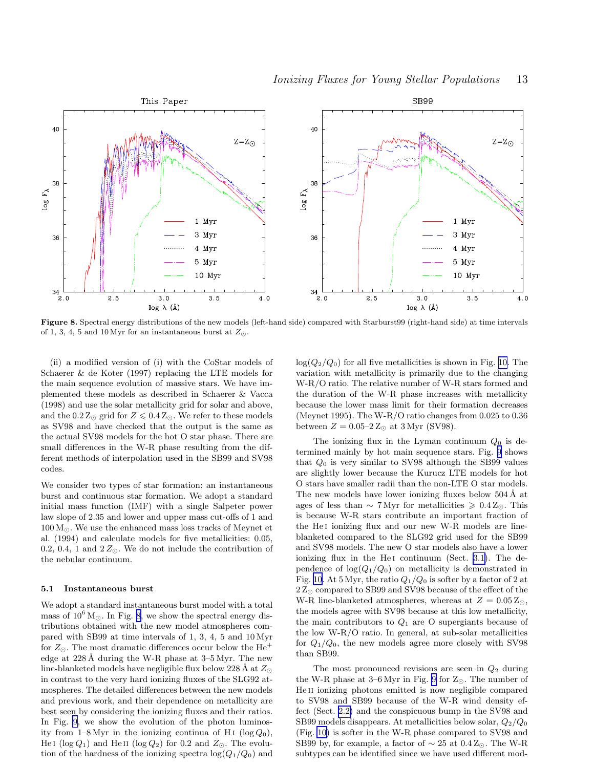

Figure 8. Spectral energy distributions of the new models (left-hand side) compared with Starburst99 (right-hand side) at time intervals of 1, 3, 4, 5 and 10 Myr for an instantaneous burst at  $Z_{\odot}$ .

(ii) a modified version of (i) with the CoStar models of Schaerer & de Koter (1997) replacing the LTE models for the main sequence evolution of massive stars. We have implemented these models as described in Schaerer & Vacca (1998) and use the solar metallicity grid for solar and above, and the  $0.2\,\mathrm{Z}_{\odot}$  grid for  $Z\leqslant 0.4\,\mathrm{Z}_{\odot}.$  We refer to these models as SV98 and have checked that the output is the same as the actual SV98 models for the hot O star phase. There are small differences in the W-R phase resulting from the different methods of interpolation used in the SB99 and SV98 codes.

We consider two types of star formation: an instantaneous burst and continuous star formation. We adopt a standard initial mass function (IMF) with a single Salpeter power law slope of 2.35 and lower and upper mass cut-offs of 1 and  $100 M_{\odot}$ . We use the enhanced mass loss tracks of Meynet et al. (1994) and calculate models for five metallicities: 0.05, 0.2, 0.4, 1 and  $2Z_{\odot}$ . We do not include the contribution of the nebular continuum.

## 5.1 Instantaneous burst

We adopt a standard instantaneous burst model with a total mass of  $10^6$  M<sub>☉</sub>. In Fig. 8, we show the spectral energy distributions obtained with the new model atmospheres compared with SB99 at time intervals of 1, 3, 4, 5 and 10 Myr for  $Z_{\odot}$ . The most dramatic differences occur below the He<sup>+</sup> edge at  $228 \text{ Å}$  during the W-R phase at  $3-5 \text{ Myr}$ . The new line-blanketed models have negligible flux below 228 Å at  $Z_{\odot}$ in contrast to the very hard ionizing fluxes of the SLG92 atmospheres. The detailed differences between the new models and previous work, and their dependence on metallicity are best seen by considering the ionizing fluxes and their ratios. In Fig. [9,](#page-13-0) we show the evolution of the photon luminosity from 1–8 Myr in the ionizing continua of H<sub>I</sub> (log  $Q_0$ ), He I (log  $Q_1$ ) and He II (log  $Q_2$ ) for 0.2 and  $Z_{\odot}$ . The evolution of the hardness of the ionizing spectra  $log(Q_1/Q_0)$  and  $log(Q_2/Q_0)$  for all five metallicities is shown in Fig. [10.](#page-13-0) The variation with metallicity is primarily due to the changing W-R/O ratio. The relative number of W-R stars formed and the duration of the W-R phase increases with metallicity because the lower mass limit for their formation decreases (Meynet 1995). The W-R/O ratio changes from 0.025 to 0.36 between  $Z = 0.05-2 Z_{\odot}$  at 3 Myr (SV98).

The ionizing flux in the Lyman continuum  $Q_0$  is determined mainly by hot main sequence stars. Fig. [9](#page-13-0) shows that  $Q_0$  is very similar to SV98 although the SB99 values are slightly lower because the Kurucz LTE models for hot O stars have smaller radii than the non-LTE O star models. The new models have lower ionizing fluxes below 504 Å at ages of less than  $\sim 7 \,\text{Myr}$  for metallicities  $\geq 0.4 \,\text{Z}_\odot$ . This is because W-R stars contribute an important fraction of the He<sub>I</sub> ionizing flux and our new W-R models are lineblanketed compared to the SLG92 grid used for the SB99 and SV98 models. The new O star models also have a lower ionizing flux in the He<sub>I</sub> continuum (Sect. [3.1\)](#page-8-0). The dependence of  $log(Q_1/Q_0)$  on metallicity is demonstrated in Fig. [10](#page-13-0). At 5 Myr, the ratio  $Q_1/Q_0$  is softer by a factor of 2 at  $2\,\mathrm{Z}_\odot$  compared to SB99 and SV98 because of the effect of the W-R line-blanketed atmospheres, whereas at  $Z = 0.05 Z_{\odot}$ , the models agree with SV98 because at this low metallicity, the main contributors to  $Q_1$  are O supergiants because of the low W-R/O ratio. In general, at sub-solar metallicities for  $Q_1/Q_0$ , the new models agree more closely with SV98 than SB99.

The most pronounced revisions are seen in  $Q_2$  during the W-R phase at 3–6 Myr in Fig. [9](#page-13-0) for  $Z_{\odot}$ . The number of He<sub>II</sub> ionizing photons emitted is now negligible compared to SV98 and SB99 because of the W-R wind density effect (Sect. [2.2\)](#page-7-0) and the conspicuous bump in the SV98 and SB99 models disappears. At metallicities below solar,  $Q_2/Q_0$ (Fig. [10\)](#page-13-0) is softer in the W-R phase compared to SV98 and SB99 by, for example, a factor of  $\sim 25$  at  $0.4 Z_{\odot}$ . The W-R subtypes can be identified since we have used different mod-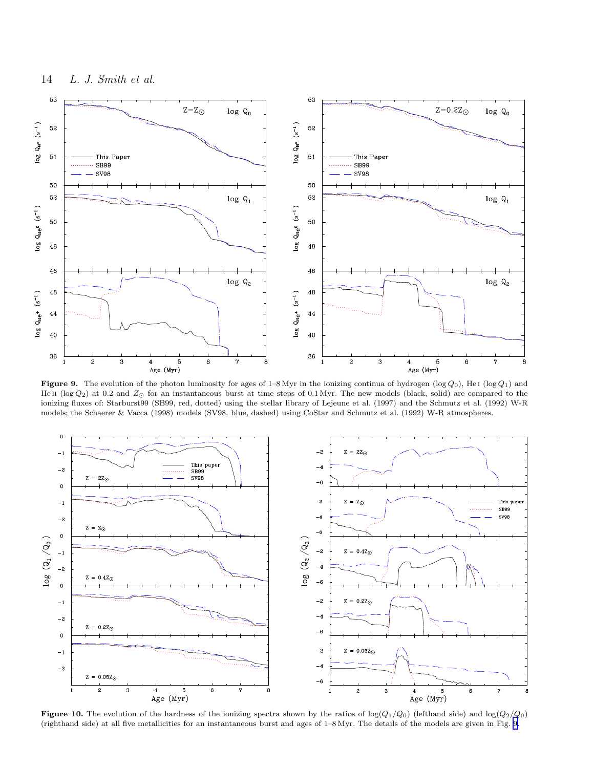<span id="page-13-0"></span>

Figure 9. The evolution of the photon luminosity for ages of 1–8 Myr in the ionizing continua of hydrogen (log  $Q_0$ ), He I (log  $Q_1$ ) and He II (log  $Q_2$ ) at 0.2 and  $Z_{\odot}$  for an instantaneous burst at time steps of 0.1 Myr. The new models (black, solid) are compared to the ionizing fluxes of: Starburst99 (SB99, red, dotted) using the stellar library of Lejeune et al. (1997) and the Schmutz et al. (1992) W-R models; the Schaerer & Vacca (1998) models (SV98, blue, dashed) using CoStar and Schmutz et al. (1992) W-R atmospheres.



**Figure 10.** The evolution of the hardness of the ionizing spectra shown by the ratios of  $log(Q_1/Q_0)$  (lefthand side) and  $log(Q_2/Q_0)$ (righthand side) at all five metallicities for an instantaneous burst and ages of 1–8 Myr. The details of the models are given in Fig. 9.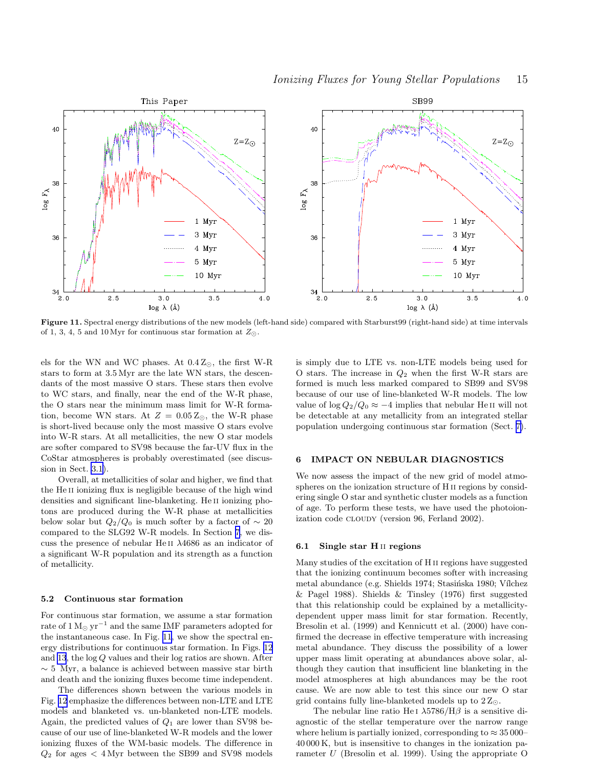<span id="page-14-0"></span>

Figure 11. Spectral energy distributions of the new models (left-hand side) compared with Starburst99 (right-hand side) at time intervals of 1, 3, 4, 5 and 10 Myr for continuous star formation at  $Z_{\odot}$ .

els for the WN and WC phases. At 0.4 Z⊙, the first W-R stars to form at 3.5 Myr are the late WN stars, the descendants of the most massive O stars. These stars then evolve to WC stars, and finally, near the end of the W-R phase, the O stars near the minimum mass limit for W-R formation, become WN stars. At  $Z = 0.05 Z_{\odot}$ , the W-R phase is short-lived because only the most massive O stars evolve into W-R stars. At all metallicities, the new O star models are softer compared to SV98 because the far-UV flux in the CoStar atmospheres is probably overestimated (see discussion in Sect. [3.1](#page-8-0)).

Overall, at metallicities of solar and higher, we find that the He<sub>II</sub> ionizing flux is negligible because of the high wind densities and significant line-blanketing. He II ionizing photons are produced during the W-R phase at metallicities below solar but  $Q_2/Q_0$  is much softer by a factor of ~ 20 compared to the SLG92 W-R models. In Section [7](#page-16-0), we discuss the presence of nebular He ii λ4686 as an indicator of a significant W-R population and its strength as a function of metallicity.

#### 5.2 Continuous star formation

For continuous star formation, we assume a star formation rate of  $1 M_{\odot}$  yr<sup>-1</sup> and the same IMF parameters adopted for the instantaneous case. In Fig. 11, we show the spectral energy distributions for continuous star formation. In Figs. [12](#page-15-0) and [13](#page-15-0), the log Q values and their log ratios are shown. After  $\sim$  5 Myr, a balance is achieved between massive star birth and death and the ionizing fluxes become time independent.

The differences shown between the various models in Fig. [12](#page-15-0) emphasize the differences between non-LTE and LTE models and blanketed vs. un-blanketed non-LTE models. Again, the predicted values of  $Q_1$  are lower than SV98 because of our use of line-blanketed W-R models and the lower ionizing fluxes of the WM-basic models. The difference in  $Q_2$  for ages  $\lt$  4 Myr between the SB99 and SV98 models

is simply due to LTE vs. non-LTE models being used for O stars. The increase in  $Q_2$  when the first W-R stars are formed is much less marked compared to SB99 and SV98 because of our use of line-blanketed W-R models. The low value of  $\log Q_2/Q_0 \approx -4$  implies that nebular He<sub>II</sub> will not be detectable at any metallicity from an integrated stellar population undergoing continuous star formation (Sect. [7\)](#page-16-0).

# 6 IMPACT ON NEBULAR DIAGNOSTICS

We now assess the impact of the new grid of model atmospheres on the ionization structure of H ii regions by considering single O star and synthetic cluster models as a function of age. To perform these tests, we have used the photoionization code CLOUDY (version 96, Ferland 2002).

## 6.1 Single star H ii regions

Many studies of the excitation of H ii regions have suggested that the ionizing continuum becomes softer with increasing metal abundance (e.g. Shields 1974; Stasińska 1980; Vílchez & Pagel 1988). Shields & Tinsley (1976) first suggested that this relationship could be explained by a metallicitydependent upper mass limit for star formation. Recently, Bresolin et al. (1999) and Kennicutt et al. (2000) have confirmed the decrease in effective temperature with increasing metal abundance. They discuss the possibility of a lower upper mass limit operating at abundances above solar, although they caution that insufficient line blanketing in the model atmospheres at high abundances may be the root cause. We are now able to test this since our new O star grid contains fully line-blanketed models up to  $2Z_{\odot}$ .

The nebular line ratio He I  $\lambda$ 5786/H $\beta$  is a sensitive diagnostic of the stellar temperature over the narrow range where helium is partially ionized, corresponding to  $\approx 35\,000$ – 40 000 K, but is insensitive to changes in the ionization parameter U (Bresolin et al. 1999). Using the appropriate O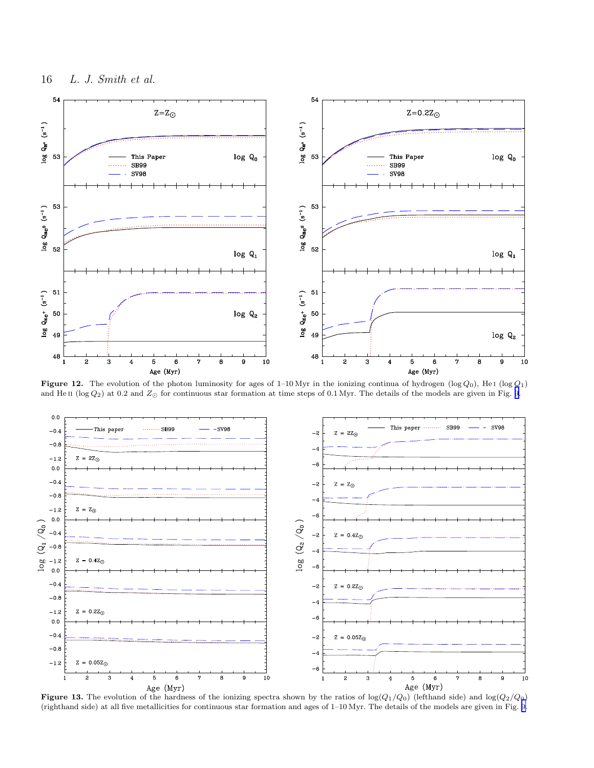<span id="page-15-0"></span>

Figure 12. The evolution of the photon luminosity for ages of 1–10 Myr in the ionizing continua of hydrogen (log  $Q_0$ ), He i (log  $Q_1$ ) and He II (log  $Q_2$ ) at 0.2 and  $Z_{\odot}$  for continuous star formation at time steps of 0.1 Myr. The details of the models are given in Fig. [9.](#page-13-0)



**Figure 13.** The evolution of the hardness of the ionizing spectra shown by the ratios of  $log(Q_1/Q_0)$  (lefthand side) and  $log(Q_2/Q_0)$ (righthand side) at all five metallicities for continuous star formation and ages of 1–10 Myr. The details of the models are given in Fig. [9.](#page-13-0)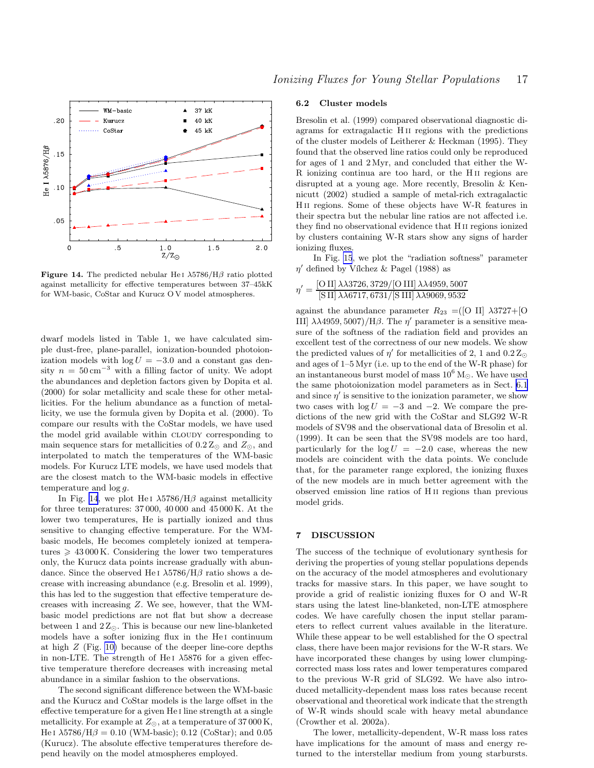<span id="page-16-0"></span>

Figure 14. The predicted nebular He<sub>I</sub>  $\lambda$ 5786/H $\beta$  ratio plotted against metallicity for effective temperatures between 37–45kK for WM-basic, CoStar and Kurucz O V model atmospheres.

dwarf models listed in Table 1, we have calculated simple dust-free, plane-parallel, ionization-bounded photoionization models with  $log U = -3.0$  and a constant gas density  $n = 50 \text{ cm}^{-3}$  with a filling factor of unity. We adopt the abundances and depletion factors given by Dopita et al. (2000) for solar metallicity and scale these for other metallicities. For the helium abundance as a function of metallicity, we use the formula given by Dopita et al. (2000). To compare our results with the CoStar models, we have used the model grid available within cloudy corresponding to main sequence stars for metallicities of  $0.2 Z_{\odot}$  and  $Z_{\odot}$ , and interpolated to match the temperatures of the WM-basic models. For Kurucz LTE models, we have used models that are the closest match to the WM-basic models in effective temperature and log g.

In Fig. 14, we plot He i  $\lambda$ 5786/H $\beta$  against metallicity for three temperatures: 37 000, 40 000 and 45 000 K. At the lower two temperatures, He is partially ionized and thus sensitive to changing effective temperature. For the WMbasic models, He becomes completely ionized at temperatures  $\geq 43000$  K. Considering the lower two temperatures only, the Kurucz data points increase gradually with abundance. Since the observed He i  $\lambda$ 5786/H $\beta$  ratio shows a decrease with increasing abundance (e.g. Bresolin et al. 1999), this has led to the suggestion that effective temperature decreases with increasing Z. We see, however, that the WMbasic model predictions are not flat but show a decrease between 1 and  $2Z_{\odot}$ . This is because our new line-blanketed models have a softer ionizing flux in the He<sub>I</sub> continuum at high Z (Fig. [10\)](#page-13-0) because of the deeper line-core depths in non-LTE. The strength of He<sub>I</sub>  $\lambda$ 5876 for a given effective temperature therefore decreases with increasing metal abundance in a similar fashion to the observations.

The second significant difference between the WM-basic and the Kurucz and CoStar models is the large offset in the effective temperature for a given He i line strength at a single metallicity. For example at  $Z_{\odot}$ , at a temperature of 37000 K, He ι  $\lambda$ 5786/H $\beta$  = 0.10 (WM-basic); 0.12 (CoStar); and 0.05 (Kurucz). The absolute effective temperatures therefore depend heavily on the model atmospheres employed.

#### 6.2 Cluster models

Bresolin et al. (1999) compared observational diagnostic diagrams for extragalactic H ii regions with the predictions of the cluster models of Leitherer & Heckman (1995). They found that the observed line ratios could only be reproduced for ages of 1 and 2 Myr, and concluded that either the W-R ionizing continua are too hard, or the H ii regions are disrupted at a young age. More recently, Bresolin & Kennicutt (2002) studied a sample of metal-rich extragalactic H ii regions. Some of these objects have W-R features in their spectra but the nebular line ratios are not affected i.e. they find no observational evidence that H ii regions ionized by clusters containing W-R stars show any signs of harder ionizing fluxes.

In Fig. [15](#page-17-0), we plot the "radiation softness" parameter  $\eta'$  defined by Vílchez & Pagel (1988) as

$$
\eta' = \frac{\left[ \text{O{\,\sc{II}}} \right]\lambda\lambda 3726, 3729/\left[ \text{O{\,\sc{III}}} \right]\lambda\lambda 4959, 5007}{\left[ \text{S{\,\sc{II}}} \right]\lambda\lambda 6717, 6731/\left[ \text{S{\,\sc{III}}} \right]\lambda\lambda 9069, 9532}
$$

against the abundance parameter  $R_{23} = (0 \text{ II}] \lambda 3727 + 0$ III]  $\lambda\lambda$ 4959, 5007)/Hβ. The  $η'$  parameter is a sensitive measure of the softness of the radiation field and provides an excellent test of the correctness of our new models. We show the predicted values of  $\eta'$  for metallicities of 2, 1 and  $0.2 \, \rm Z_{\odot}$ and ages of 1–5 Myr (i.e. up to the end of the W-R phase) for an instantaneous burst model of mass  $10^6 M_{\odot}$ . We have used the same photoionization model parameters as in Sect. [6.1](#page-14-0) and since  $\eta'$  is sensitive to the ionization parameter, we show two cases with  $log U = -3$  and  $-2$ . We compare the predictions of the new grid with the CoStar and SLG92 W-R models of SV98 and the observational data of Bresolin et al. (1999). It can be seen that the SV98 models are too hard, particularly for the  $log U = -2.0$  case, whereas the new models are coincident with the data points. We conclude that, for the parameter range explored, the ionizing fluxes of the new models are in much better agreement with the observed emission line ratios of H ii regions than previous model grids.

## 7 DISCUSSION

The success of the technique of evolutionary synthesis for deriving the properties of young stellar populations depends on the accuracy of the model atmospheres and evolutionary tracks for massive stars. In this paper, we have sought to provide a grid of realistic ionizing fluxes for O and W-R stars using the latest line-blanketed, non-LTE atmosphere codes. We have carefully chosen the input stellar parameters to reflect current values available in the literature. While these appear to be well established for the O spectral class, there have been major revisions for the W-R stars. We have incorporated these changes by using lower clumpingcorrected mass loss rates and lower temperatures compared to the previous W-R grid of SLG92. We have also introduced metallicity-dependent mass loss rates because recent observational and theoretical work indicate that the strength of W-R winds should scale with heavy metal abundance (Crowther et al. 2002a).

The lower, metallicity-dependent, W-R mass loss rates have implications for the amount of mass and energy returned to the interstellar medium from young starbursts.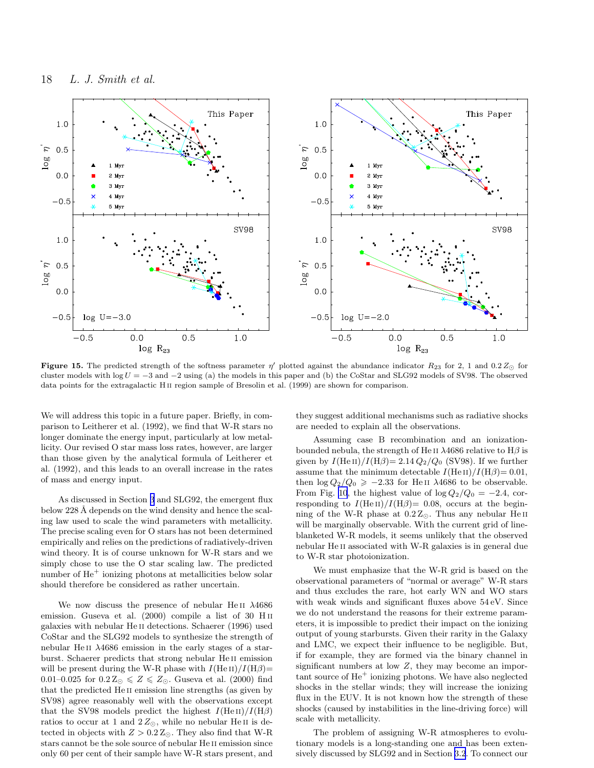<span id="page-17-0"></span>

Figure 15. The predicted strength of the softness parameter  $\eta'$  plotted against the abundance indicator  $R_{23}$  for 2, 1 and 0.2 $Z_{\odot}$  for cluster models with log  $U = -3$  and  $-2$  using (a) the models in this paper and (b) the CoStar and SLG92 models of SV98. The observed data points for the extragalactic H<sub>II</sub> region sample of Bresolin et al. (1999) are shown for comparison.

We will address this topic in a future paper. Briefly, in comparison to Leitherer et al. (1992), we find that W-R stars no longer dominate the energy input, particularly at low metallicity. Our revised O star mass loss rates, however, are larger than those given by the analytical formula of Leitherer et al. (1992), and this leads to an overall increase in the rates of mass and energy input.

As discussed in Section [3](#page-8-0) and SLG92, the emergent flux below 228 Å depends on the wind density and hence the scaling law used to scale the wind parameters with metallicity. The precise scaling even for O stars has not been determined empirically and relies on the predictions of radiatively-driven wind theory. It is of course unknown for W-R stars and we simply chose to use the O star scaling law. The predicted number of  $He<sup>+</sup>$  ionizing photons at metallicities below solar should therefore be considered as rather uncertain.

We now discuss the presence of nebular He ii λ4686 emission. Guseva et al. (2000) compile a list of 30 H II galaxies with nebular He ii detections. Schaerer (1996) used CoStar and the SLG92 models to synthesize the strength of nebular He<sub>II</sub>  $\lambda$ 4686 emission in the early stages of a starburst. Schaerer predicts that strong nebular He ii emission will be present during the W-R phase with  $I(HeII)/I(H\beta)$ = 0.01–0.025 for  $0.2 Z_{\odot} \leqslant Z \leqslant Z_{\odot}$ . Guseva et al. (2000) find that the predicted He ii emission line strengths (as given by SV98) agree reasonably well with the observations except that the SV98 models predict the highest  $I(HeII)/I(H\beta)$ ratios to occur at 1 and  $2Z_{\odot}$ , while no nebular He II is detected in objects with  $Z > 0.2 Z_{\odot}$ . They also find that W-R stars cannot be the sole source of nebular He ii emission since only 60 per cent of their sample have W-R stars present, and

they suggest additional mechanisms such as radiative shocks are needed to explain all the observations.

Assuming case B recombination and an ionizationbounded nebula, the strength of He II  $\lambda$ 4686 relative to H $\beta$  is given by  $I(\text{He II})/I(\text{H}\beta) = 2.14 Q_2/Q_0$  (SV98). If we further assume that the minimum detectable  $I(\text{He II})/I(\text{H}\beta) = 0.01$ , then  $\log Q_2/Q_0 \ge -2.33$  for HeII  $\lambda$ 4686 to be observable. From Fig. [10](#page-13-0), the highest value of  $\log Q_2/Q_0 = -2.4$ , corresponding to  $I(\text{He II})/I(\text{H}\beta) = 0.08$ , occurs at the beginning of the W-R phase at  $0.2 Z_{\odot}$ . Thus any nebular HeII will be marginally observable. With the current grid of lineblanketed W-R models, it seems unlikely that the observed nebular He ii associated with W-R galaxies is in general due to W-R star photoionization.

We must emphasize that the W-R grid is based on the observational parameters of "normal or average" W-R stars and thus excludes the rare, hot early WN and WO stars with weak winds and significant fluxes above 54 eV. Since we do not understand the reasons for their extreme parameters, it is impossible to predict their impact on the ionizing output of young starbursts. Given their rarity in the Galaxy and LMC, we expect their influence to be negligible. But, if for example, they are formed via the binary channel in significant numbers at low  $Z$ , they may become an important source of He<sup>+</sup> ionizing photons. We have also neglected shocks in the stellar winds; they will increase the ionizing flux in the EUV. It is not known how the strength of these shocks (caused by instabilities in the line-driving force) will scale with metallicity.

The problem of assigning W-R atmospheres to evolutionary models is a long-standing one and has been extensively discussed by SLG92 and in Section [3.2](#page-9-0). To connect our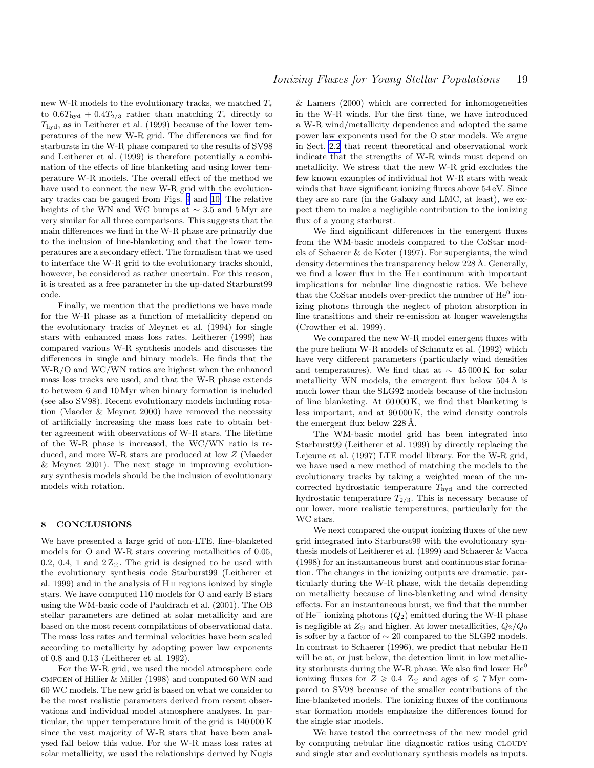<span id="page-18-0"></span>new W-R models to the evolutionary tracks, we matched T<sup>∗</sup> to  $0.6T_{\text{hyd}} + 0.4T_{2/3}$  rather than matching  $T_*$  directly to  $T_{\text{hvd}}$ , as in Leitherer et al. (1999) because of the lower temperatures of the new W-R grid. The differences we find for starbursts in the W-R phase compared to the results of SV98 and Leitherer et al. (1999) is therefore potentially a combination of the effects of line blanketing and using lower temperature W-R models. The overall effect of the method we have used to connect the new W-R grid with the evolutionary tracks can be gauged from Figs. [9](#page-13-0) and [10.](#page-13-0) The relative heights of the WN and WC bumps at  $\sim$  3.5 and 5 Myr are very similar for all three comparisons. This suggests that the main differences we find in the W-R phase are primarily due to the inclusion of line-blanketing and that the lower temperatures are a secondary effect. The formalism that we used to interface the W-R grid to the evolutionary tracks should, however, be considered as rather uncertain. For this reason, it is treated as a free parameter in the up-dated Starburst99 code.

Finally, we mention that the predictions we have made for the W-R phase as a function of metallicity depend on the evolutionary tracks of Meynet et al. (1994) for single stars with enhanced mass loss rates. Leitherer (1999) has compared various W-R synthesis models and discusses the differences in single and binary models. He finds that the W-R/O and WC/WN ratios are highest when the enhanced mass loss tracks are used, and that the W-R phase extends to between 6 and 10 Myr when binary formation is included (see also SV98). Recent evolutionary models including rotation (Maeder & Meynet 2000) have removed the necessity of artificially increasing the mass loss rate to obtain better agreement with observations of W-R stars. The lifetime of the W-R phase is increased, the WC/WN ratio is reduced, and more W-R stars are produced at low Z (Maeder & Meynet 2001). The next stage in improving evolutionary synthesis models should be the inclusion of evolutionary models with rotation.

## 8 CONCLUSIONS

We have presented a large grid of non-LTE, line-blanketed models for O and W-R stars covering metallicities of 0.05, 0.2, 0.4, 1 and  $2Z_{\odot}$ . The grid is designed to be used with the evolutionary synthesis code Starburst99 (Leitherer et al. 1999) and in the analysis of H ii regions ionized by single stars. We have computed 110 models for O and early B stars using the WM-basic code of Pauldrach et al. (2001). The OB stellar parameters are defined at solar metallicity and are based on the most recent compilations of observational data. The mass loss rates and terminal velocities have been scaled according to metallicity by adopting power law exponents of 0.8 and 0.13 (Leitherer et al. 1992).

For the W-R grid, we used the model atmosphere code cmfgen of Hillier & Miller (1998) and computed 60 WN and 60 WC models. The new grid is based on what we consider to be the most realistic parameters derived from recent observations and individual model atmosphere analyses. In particular, the upper temperature limit of the grid is 140 000 K since the vast majority of W-R stars that have been analysed fall below this value. For the W-R mass loss rates at solar metallicity, we used the relationships derived by Nugis

& Lamers (2000) which are corrected for inhomogeneities in the W-R winds. For the first time, we have introduced a W-R wind/metallicity dependence and adopted the same power law exponents used for the O star models. We argue in Sect. [2.2](#page-7-0) that recent theoretical and observational work indicate that the strengths of W-R winds must depend on metallicity. We stress that the new W-R grid excludes the few known examples of individual hot W-R stars with weak winds that have significant ionizing fluxes above 54 eV. Since they are so rare (in the Galaxy and LMC, at least), we expect them to make a negligible contribution to the ionizing flux of a young starburst.

We find significant differences in the emergent fluxes from the WM-basic models compared to the CoStar models of Schaerer & de Koter (1997). For supergiants, the wind density determines the transparency below 228 Å. Generally, we find a lower flux in the He<sub>I</sub> continuum with important implications for nebular line diagnostic ratios. We believe that the CoStar models over-predict the number of  $He^0$  ionizing photons through the neglect of photon absorption in line transitions and their re-emission at longer wavelengths (Crowther et al. 1999).

We compared the new W-R model emergent fluxes with the pure helium W-R models of Schmutz et al. (1992) which have very different parameters (particularly wind densities and temperatures). We find that at  $\sim 45000 \,\mathrm{K}$  for solar metallicity WN models, the emergent flux below  $504 \text{\AA}$  is much lower than the SLG92 models because of the inclusion of line blanketing. At 60 000 K, we find that blanketing is less important, and at 90 000 K, the wind density controls the emergent flux below  $228 \text{\AA}$ .

The WM-basic model grid has been integrated into Starburst99 (Leitherer et al. 1999) by directly replacing the Lejeune et al. (1997) LTE model library. For the W-R grid, we have used a new method of matching the models to the evolutionary tracks by taking a weighted mean of the uncorrected hydrostatic temperature  $T_{\text{hyd}}$  and the corrected hydrostatic temperature  $T_{2/3}$ . This is necessary because of our lower, more realistic temperatures, particularly for the WC stars.

We next compared the output ionizing fluxes of the new grid integrated into Starburst99 with the evolutionary synthesis models of Leitherer et al. (1999) and Schaerer & Vacca (1998) for an instantaneous burst and continuous star formation. The changes in the ionizing outputs are dramatic, particularly during the W-R phase, with the details depending on metallicity because of line-blanketing and wind density effects. For an instantaneous burst, we find that the number of  $\text{He}^+$  ionizing photons  $(Q_2)$  emitted during the W-R phase is negligible at  $Z_{\odot}$  and higher. At lower metallicities,  $Q_2/Q_0$ is softer by a factor of  $\sim$  20 compared to the SLG92 models. In contrast to Schaerer (1996), we predict that nebular He<sub>II</sub> will be at, or just below, the detection limit in low metallicity starbursts during the W-R phase. We also find lower  $He^{0}$ ionizing fluxes for  $Z \geq 0.4$   $Z_{\odot}$  and ages of  $\leq 7$  Myr compared to SV98 because of the smaller contributions of the line-blanketed models. The ionizing fluxes of the continuous star formation models emphasize the differences found for the single star models.

We have tested the correctness of the new model grid by computing nebular line diagnostic ratios using CLOUDY and single star and evolutionary synthesis models as inputs.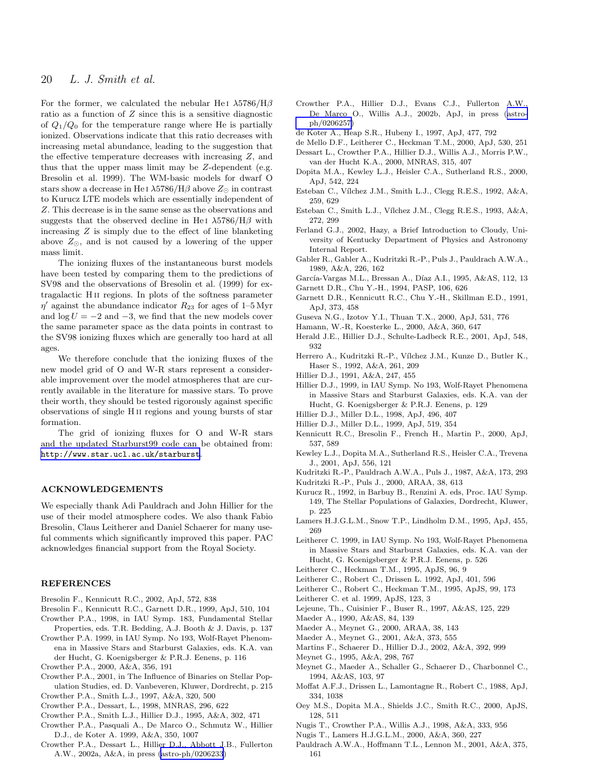# <span id="page-19-0"></span>20 L. J. Smith et al.

For the former, we calculated the nebular He i  $\lambda$ 5786/H $\beta$ ratio as a function of Z since this is a sensitive diagnostic of  $Q_1/Q_0$  for the temperature range where He is partially ionized. Observations indicate that this ratio decreases with increasing metal abundance, leading to the suggestion that the effective temperature decreases with increasing Z, and thus that the upper mass limit may be Z-dependent (e.g. Bresolin et al. 1999). The WM-basic models for dwarf O stars show a decrease in He I  $\lambda$ 5786/H $\beta$  above  $Z_{\odot}$  in contrast to Kurucz LTE models which are essentially independent of Z. This decrease is in the same sense as the observations and suggests that the observed decline in He<sub>I</sub>  $\lambda$ 5786/H $\beta$  with increasing  $Z$  is simply due to the effect of line blanketing above  $Z_{\odot}$ , and is not caused by a lowering of the upper mass limit.

The ionizing fluxes of the instantaneous burst models have been tested by comparing them to the predictions of SV98 and the observations of Bresolin et al. (1999) for extragalactic H ii regions. In plots of the softness parameter  $\eta'$  against the abundance indicator  $R_{23}$  for ages of 1–5 Myr and  $\log U = -2$  and  $-3$ , we find that the new models cover the same parameter space as the data points in contrast to the SV98 ionizing fluxes which are generally too hard at all ages.

We therefore conclude that the ionizing fluxes of the new model grid of O and W-R stars represent a considerable improvement over the model atmospheres that are currently available in the literature for massive stars. To prove their worth, they should be tested rigorously against specific observations of single H ii regions and young bursts of star formation.

The grid of ionizing fluxes for O and W-R stars and the updated Starburst99 code can be obtained from: <http://www.star.ucl.ac.uk/starburst>.

## ACKNOWLEDGEMENTS

We especially thank Adi Pauldrach and John Hillier for the use of their model atmosphere codes. We also thank Fabio Bresolin, Claus Leitherer and Daniel Schaerer for many useful comments which significantly improved this paper. PAC acknowledges financial support from the Royal Society.

## REFERENCES

- Bresolin F., Kennicutt R.C., 2002, ApJ, 572, 838
- Bresolin F., Kennicutt R.C., Garnett D.R., 1999, ApJ, 510, 104 Crowther P.A., 1998, in IAU Symp. 183, Fundamental Stellar
- Properties, eds. T.R. Bedding, A.J. Booth & J. Davis, p. 137 Crowther P.A. 1999, in IAU Symp. No 193, Wolf-Rayet Phenom-
- ena in Massive Stars and Starburst Galaxies, eds. K.A. van der Hucht, G. Koenigsberger & P.R.J. Eenens, p. 116
- Crowther P.A., 2000, A&A, 356, 191
- Crowther P.A., 2001, in The Influence of Binaries on Stellar Population Studies, ed. D. Vanbeveren, Kluwer, Dordrecht, p. 215
- Crowther P.A., Smith L.J., 1997, A&A, 320, 500
- Crowther P.A., Dessart, L., 1998, MNRAS, 296, 622
- Crowther P.A., Smith L.J., Hillier D.J., 1995, A&A, 302, 471
- Crowther P.A., Pasquali A., De Marco O., Schmutz W., Hillier D.J., de Koter A. 1999, A&A, 350, 1007
- Crowther P.A., Dessart L., Hillier D.J., Abbott J.B., Fullerton A.W., 2002a, A&A, in press [\(astro-ph/0206233](http://arXiv.org/abs/astro-ph/0206233))
- Crowther P.A., Hillier D.J., Evans C.J., Fullerton A.W., De Marco O., Willis A.J., 2002b, ApJ, in press ([astro](http://arXiv.org/abs/astro-ph/0206257)[ph/0206257\)](http://arXiv.org/abs/astro-ph/0206257)
- de Koter A., Heap S.R., Hubeny I., 1997, ApJ, 477, 792
- de Mello D.F., Leitherer C., Heckman T.M., 2000, ApJ, 530, 251
- Dessart L., Crowther P.A., Hillier D.J., Willis A.J., Morris P.W., van der Hucht K.A., 2000, MNRAS, 315, 407
- Dopita M.A., Kewley L.J., Heisler C.A., Sutherland R.S., 2000, ApJ, 542, 224
- Esteban C., Vílchez J.M., Smith L.J., Clegg R.E.S., 1992, A&A, 259, 629
- Esteban C., Smith L.J., Vílchez J.M., Clegg R.E.S., 1993, A&A, 272, 299
- Ferland G.J., 2002, Hazy, a Brief Introduction to Cloudy, University of Kentucky Department of Physics and Astronomy Internal Report.
- Gabler R., Gabler A., Kudritzki R.-P., Puls J., Pauldrach A.W.A., 1989, A&A, 226, 162
- García-Vargas M.L., Bressan A., Díaz A.I., 1995, A&AS, 112, 13
- Garnett D.R., Chu Y.-H., 1994, PASP, 106, 626
- Garnett D.R., Kennicutt R.C., Chu Y.-H., Skillman E.D., 1991, ApJ, 373, 458
- Guseva N.G., Izotov Y.I., Thuan T.X., 2000, ApJ, 531, 776
- Hamann, W.-R, Koesterke L., 2000, A&A, 360, 647
- Herald J.E., Hillier D.J., Schulte-Ladbeck R.E., 2001, ApJ, 548, 932
- Herrero A., Kudritzki R.-P., Vílchez J.M., Kunze D., Butler K., Haser S., 1992, A&A, 261, 209
- Hillier D.J., 1991, A&A, 247, 455
- Hillier D.J., 1999, in IAU Symp. No 193, Wolf-Rayet Phenomena in Massive Stars and Starburst Galaxies, eds. K.A. van der Hucht, G. Koenigsberger & P.R.J. Eenens, p. 129
- Hillier D.J., Miller D.L., 1998, ApJ, 496, 407
- Hillier D.J., Miller D.L., 1999, ApJ, 519, 354
- Kennicutt R.C., Bresolin F., French H., Martin P., 2000, ApJ, 537, 589
- Kewley L.J., Dopita M.A., Sutherland R.S., Heisler C.A., Trevena J., 2001, ApJ, 556, 121
- Kudritzki R.-P., Pauldrach A.W.A., Puls J., 1987, A&A, 173, 293
- Kudritzki R.-P., Puls J., 2000, ARAA, 38, 613
- Kurucz R., 1992, in Barbuy B., Renzini A. eds, Proc. IAU Symp. 149, The Stellar Populations of Galaxies, Dordrecht, Kluwer, p. 225
- Lamers H.J.G.L.M., Snow T.P., Lindholm D.M., 1995, ApJ, 455, 269
- Leitherer C. 1999, in IAU Symp. No 193, Wolf-Rayet Phenomena in Massive Stars and Starburst Galaxies, eds. K.A. van der Hucht, G. Koenigsberger & P.R.J. Eenens, p. 526
- Leitherer C., Heckman T.M., 1995, ApJS, 96, 9
- Leitherer C., Robert C., Drissen L. 1992, ApJ, 401, 596
- Leitherer C., Robert C., Heckman T.M., 1995, ApJS, 99, 173
- Leitherer C. et al. 1999, ApJS, 123, 3
- Lejeune, Th., Cuisinier F., Buser R., 1997, A&AS, 125, 229
- Maeder A., 1990, A&AS, 84, 139
- Maeder A., Meynet G., 2000, ARAA, 38, 143
- Maeder A., Meynet G., 2001, A&A, 373, 555
- Martins F., Schaerer D., Hillier D.J., 2002, A&A, 392, 999
- Meynet G., 1995, A&A, 298, 767
- Meynet G., Maeder A., Schaller G., Schaerer D., Charbonnel C., 1994, A&AS, 103, 97
- Moffat A.F.J., Drissen L., Lamontagne R., Robert C., 1988, ApJ, 334, 1038
- Oey M.S., Dopita M.A., Shields J.C., Smith R.C., 2000, ApJS, 128, 511
- Nugis T., Crowther P.A., Willis A.J., 1998, A&A, 333, 956
- Nugis T., Lamers H.J.G.L.M., 2000, A&A, 360, 227
- Pauldrach A.W.A., Hoffmann T.L., Lennon M., 2001, A&A, 375, 161